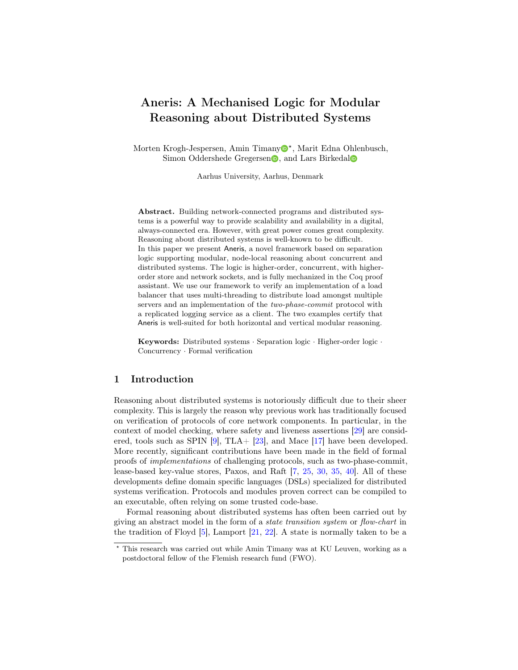# Aneris: A Mechanised Logic for Modular Reasoning about Distributed Systems

Morten Krogh-Jespersen, Amin Timan[y](http://orcid.org/0000-0002-2237-851X)<sup>o\*</sup>, Marit Edna Ohlenbusch, Simon Oddershede Gregersen<sup>o</sup>[,](http://orcid.org/0000-0001-6045-5232) and Lars Birkeda[l](http://orcid.org/0000-0003-1320-0098)<sup>o</sup>

Aarhus University, Aarhus, Denmark

Abstract. Building network-connected programs and distributed systems is a powerful way to provide scalability and availability in a digital, always-connected era. However, with great power comes great complexity. Reasoning about distributed systems is well-known to be difficult. In this paper we present Aneris, a novel framework based on separation logic supporting modular, node-local reasoning about concurrent and distributed systems. The logic is higher-order, concurrent, with higherorder store and network sockets, and is fully mechanized in the Coq proof assistant. We use our framework to verify an implementation of a load balancer that uses multi-threading to distribute load amongst multiple servers and an implementation of the two-phase-commit protocol with a replicated logging service as a client. The two examples certify that Aneris is well-suited for both horizontal and vertical modular reasoning.

Keywords: Distributed systems · Separation logic · Higher-order logic · Concurrency · Formal verification

# 1 Introduction

Reasoning about distributed systems is notoriously difficult due to their sheer complexity. This is largely the reason why previous work has traditionally focused on verification of protocols of core network components. In particular, in the context of model checking, where safety and liveness assertions [\[29\]](#page-27-0) are consid-ered, tools such as SPIN [\[9\]](#page-25-0), TLA+  $[23]$ , and Mace  $[17]$  have been developed. More recently, significant contributions have been made in the field of formal proofs of implementations of challenging protocols, such as two-phase-commit, lease-based key-value stores, Paxos, and Raft [\[7,](#page-25-1) [25,](#page-27-2) [30,](#page-28-0) [35,](#page-28-1) [40\]](#page-29-0). All of these developments define domain specific languages (DSLs) specialized for distributed systems verification. Protocols and modules proven correct can be compiled to an executable, often relying on some trusted code-base.

Formal reasoning about distributed systems has often been carried out by giving an abstract model in the form of a state transition system or flow-chart in the tradition of Floyd  $[5]$ , Lamport  $[21, 22]$  $[21, 22]$  $[21, 22]$ . A state is normally taken to be a

<sup>?</sup> This research was carried out while Amin Timany was at KU Leuven, working as a postdoctoral fellow of the Flemish research fund (FWO).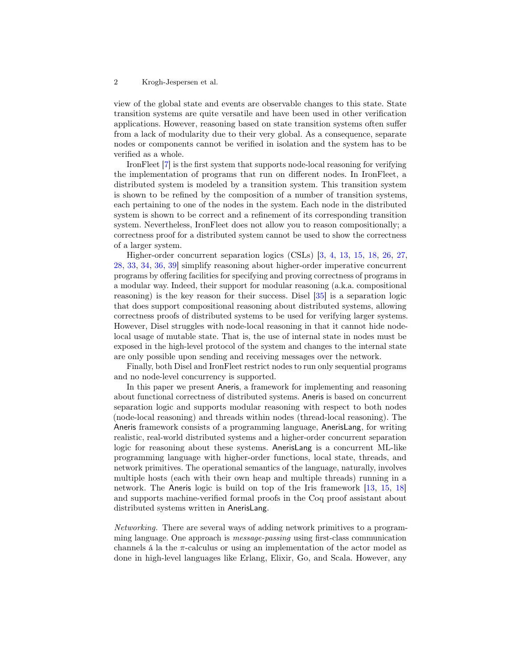view of the global state and events are observable changes to this state. State transition systems are quite versatile and have been used in other verification applications. However, reasoning based on state transition systems often suffer from a lack of modularity due to their very global. As a consequence, separate nodes or components cannot be verified in isolation and the system has to be verified as a whole.

IronFleet [\[7\]](#page-25-1) is the first system that supports node-local reasoning for verifying the implementation of programs that run on different nodes. In IronFleet, a distributed system is modeled by a transition system. This transition system is shown to be refined by the composition of a number of transition systems, each pertaining to one of the nodes in the system. Each node in the distributed system is shown to be correct and a refinement of its corresponding transition system. Nevertheless, IronFleet does not allow you to reason compositionally; a correctness proof for a distributed system cannot be used to show the correctness of a larger system.

Higher-order concurrent separation logics (CSLs) [\[3,](#page-25-3) [4,](#page-25-4) [13,](#page-26-1) [15,](#page-26-2) [18,](#page-26-3) [26,](#page-27-5) [27,](#page-27-6) [28,](#page-27-7) [33,](#page-28-2) [34,](#page-28-3) [36,](#page-28-4) [39\]](#page-28-5) simplify reasoning about higher-order imperative concurrent programs by offering facilities for specifying and proving correctness of programs in a modular way. Indeed, their support for modular reasoning (a.k.a. compositional reasoning) is the key reason for their success. Disel [\[35\]](#page-28-1) is a separation logic that does support compositional reasoning about distributed systems, allowing correctness proofs of distributed systems to be used for verifying larger systems. However, Disel struggles with node-local reasoning in that it cannot hide nodelocal usage of mutable state. That is, the use of internal state in nodes must be exposed in the high-level protocol of the system and changes to the internal state are only possible upon sending and receiving messages over the network.

Finally, both Disel and IronFleet restrict nodes to run only sequential programs and no node-level concurrency is supported.

In this paper we present Aneris, a framework for implementing and reasoning about functional correctness of distributed systems. Aneris is based on concurrent separation logic and supports modular reasoning with respect to both nodes (node-local reasoning) and threads within nodes (thread-local reasoning). The Aneris framework consists of a programming language, AnerisLang, for writing realistic, real-world distributed systems and a higher-order concurrent separation logic for reasoning about these systems. AnerisLang is a concurrent ML-like programming language with higher-order functions, local state, threads, and network primitives. The operational semantics of the language, naturally, involves multiple hosts (each with their own heap and multiple threads) running in a network. The Aneris logic is build on top of the Iris framework [\[13,](#page-26-1) [15,](#page-26-2) [18\]](#page-26-3) and supports machine-verified formal proofs in the Coq proof assistant about distributed systems written in AnerisLang.

Networking. There are several ways of adding network primitives to a programming language. One approach is message-passing using first-class communication channels á la the  $\pi$ -calculus or using an implementation of the actor model as done in high-level languages like Erlang, Elixir, Go, and Scala. However, any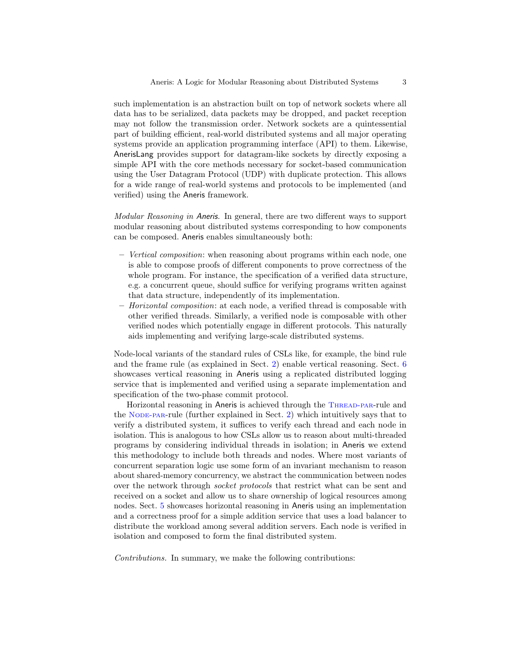such implementation is an abstraction built on top of network sockets where all data has to be serialized, data packets may be dropped, and packet reception may not follow the transmission order. Network sockets are a quintessential part of building efficient, real-world distributed systems and all major operating systems provide an application programming interface (API) to them. Likewise, AnerisLang provides support for datagram-like sockets by directly exposing a simple API with the core methods necessary for socket-based communication using the User Datagram Protocol (UDP) with duplicate protection. This allows for a wide range of real-world systems and protocols to be implemented (and verified) using the Aneris framework.

Modular Reasoning in Aneris. In general, there are two different ways to support modular reasoning about distributed systems corresponding to how components can be composed. Aneris enables simultaneously both:

- Vertical composition: when reasoning about programs within each node, one is able to compose proofs of different components to prove correctness of the whole program. For instance, the specification of a verified data structure, e.g. a concurrent queue, should suffice for verifying programs written against that data structure, independently of its implementation.
- Horizontal composition: at each node, a verified thread is composable with other verified threads. Similarly, a verified node is composable with other verified nodes which potentially engage in different protocols. This naturally aids implementing and verifying large-scale distributed systems.

Node-local variants of the standard rules of CSLs like, for example, the bind rule and the frame rule (as explained in Sect. [2\)](#page-3-0) enable vertical reasoning. Sect. [6](#page-20-0) showcases vertical reasoning in Aneris using a replicated distributed logging service that is implemented and verified using a separate implementation and specification of the two-phase commit protocol.

Horizontal reasoning in Aneris is achieved through the THREAD-PAR-rule and the [Node-par](#page-5-0)-rule (further explained in Sect. [2\)](#page-3-0) which intuitively says that to verify a distributed system, it suffices to verify each thread and each node in isolation. This is analogous to how CSLs allow us to reason about multi-threaded programs by considering individual threads in isolation; in Aneris we extend this methodology to include both threads and nodes. Where most variants of concurrent separation logic use some form of an invariant mechanism to reason about shared-memory concurrency, we abstract the communication between nodes over the network through socket protocols that restrict what can be sent and received on a socket and allow us to share ownership of logical resources among nodes. Sect. [5](#page-17-0) showcases horizontal reasoning in Aneris using an implementation and a correctness proof for a simple addition service that uses a load balancer to distribute the workload among several addition servers. Each node is verified in isolation and composed to form the final distributed system.

Contributions. In summary, we make the following contributions: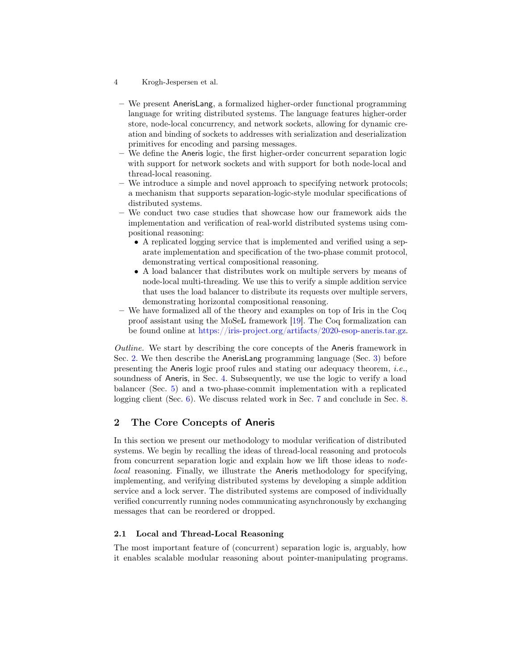- 4 Krogh-Jespersen et al.
- We present AnerisLang, a formalized higher-order functional programming language for writing distributed systems. The language features higher-order store, node-local concurrency, and network sockets, allowing for dynamic creation and binding of sockets to addresses with serialization and deserialization primitives for encoding and parsing messages.
- We define the Aneris logic, the first higher-order concurrent separation logic with support for network sockets and with support for both node-local and thread-local reasoning.
- We introduce a simple and novel approach to specifying network protocols; a mechanism that supports separation-logic-style modular specifications of distributed systems.
- We conduct two case studies that showcase how our framework aids the implementation and verification of real-world distributed systems using compositional reasoning:
	- A replicated logging service that is implemented and verified using a separate implementation and specification of the two-phase commit protocol, demonstrating vertical compositional reasoning.
	- A load balancer that distributes work on multiple servers by means of node-local multi-threading. We use this to verify a simple addition service that uses the load balancer to distribute its requests over multiple servers, demonstrating horizontal compositional reasoning.
- We have formalized all of the theory and examples on top of Iris in the Coq proof assistant using the MoSeL framework [\[19\]](#page-26-4). The Coq formalization can be found online at [https://iris-project.org/artifacts/2020-esop-aneris.tar.gz.](https://iris-project.org/artifacts/2020-esop-aneris.tar.gz)

Outline. We start by describing the core concepts of the Aneris framework in Sec. [2.](#page-3-0) We then describe the AnerisLang programming language (Sec. [3\)](#page-11-0) before presenting the Aneris logic proof rules and stating our adequacy theorem, *i.e.*, soundness of Aneris, in Sec. [4.](#page-13-0) Subsequently, we use the logic to verify a load balancer (Sec. [5\)](#page-17-0) and a two-phase-commit implementation with a replicated logging client (Sec. [6\)](#page-20-0). We discuss related work in Sec. [7](#page-22-0) and conclude in Sec. [8.](#page-24-0)

# <span id="page-3-0"></span>2 The Core Concepts of Aneris

In this section we present our methodology to modular verification of distributed systems. We begin by recalling the ideas of thread-local reasoning and protocols from concurrent separation logic and explain how we lift those ideas to nodelocal reasoning. Finally, we illustrate the Aneris methodology for specifying, implementing, and verifying distributed systems by developing a simple addition service and a lock server. The distributed systems are composed of individually verified concurrently running nodes communicating asynchronously by exchanging messages that can be reordered or dropped.

# 2.1 Local and Thread-Local Reasoning

The most important feature of (concurrent) separation logic is, arguably, how it enables scalable modular reasoning about pointer-manipulating programs.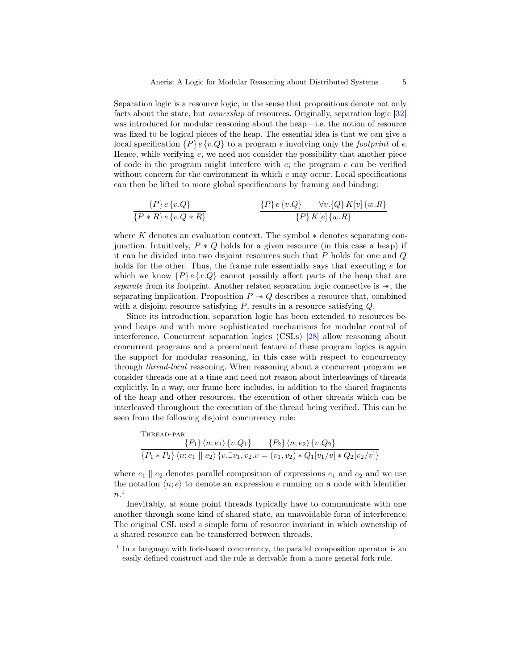Separation logic is a resource logic, in the sense that propositions denote not only facts about the state, but ownership of resources. Originally, separation logic [\[32\]](#page-28-6) was introduced for modular reasoning about the heap—i.e. the notion of resource was fixed to be logical pieces of the heap. The essential idea is that we can give a local specification  $\{P\} e \{v.Q\}$  to a program e involving only the *footprint* of e. Hence, while verifying  $e$ , we need not consider the possibility that another piece of code in the program might interfere with  $e$ ; the program  $e$  can be verified without concern for the environment in which  $e$  may occur. Local specifications can then be lifted to more global specifications by framing and binding:

$$
\frac{\{P\} e \{v.Q\}}{\{P * R\} e \{v.Q * R\}} \qquad \qquad \frac{\{P\} e \{v.Q\} \quad \forall v.\{Q\} K[v] \{w.R\}}{\{P\} K[e] \{w.R\}}
$$

where K denotes an evaluation context. The symbol  $*$  denotes separating conjunction. Intuitively,  $P * Q$  holds for a given resource (in this case a heap) if it can be divided into two disjoint resources such that  $P$  holds for one and  $Q$ holds for the other. Thus, the frame rule essentially says that executing  $e$  for which we know  $\{P\}e\{x,Q\}$  cannot possibly affect parts of the heap that are separate from its footprint. Another related separation logic connective is  $\rightarrow$ , the separating implication. Proposition  $P \rightarrow Q$  describes a resource that, combined with a disjoint resource satisfying  $P$ , results in a resource satisfying  $Q$ .

Since its introduction, separation logic has been extended to resources beyond heaps and with more sophisticated mechanisms for modular control of interference. Concurrent separation logics (CSLs) [\[28\]](#page-27-7) allow reasoning about concurrent programs and a preeminent feature of these program logics is again the support for modular reasoning, in this case with respect to concurrency through thread-local reasoning. When reasoning about a concurrent program we consider threads one at a time and need not reason about interleavings of threads explicitly. In a way, our frame here includes, in addition to the shared fragments of the heap and other resources, the execution of other threads which can be interleaved throughout the execution of the thread being verified. This can be seen from the following disjoint concurrency rule:

<span id="page-4-0"></span>
$$
\frac{\text{Thread-Par}}{\{P_1 \times P_2\} \langle n; e_1 \rangle \{v \cdot Q_1\}} \frac{\{P_2\} \langle n; e_2 \rangle \{v \cdot Q_2\}}{\{P_1 \times P_2\} \langle n; e_1 \mid |e_2 \rangle \{v \cdot \exists v_1, v_2 \cdot v = (v_1, v_2) \times Q_1[v_1/v] \times Q_2[v_2/v]\}}
$$

where  $e_1 \parallel e_2$  denotes parallel composition of expressions  $e_1$  and  $e_2$  and we use the notation  $\langle n; e \rangle$  to denote an expression e running on a node with identifier  $n^{1}$  $n^{1}$  $n^{1}$ 

Inevitably, at some point threads typically have to communicate with one another through some kind of shared state, an unavoidable form of interference. The original CSL used a simple form of resource invariant in which ownership of a shared resource can be transferred between threads.

<span id="page-4-1"></span><sup>&</sup>lt;sup>1</sup> In a language with fork-based concurrency, the parallel composition operator is an easily defined construct and the rule is derivable from a more general fork-rule.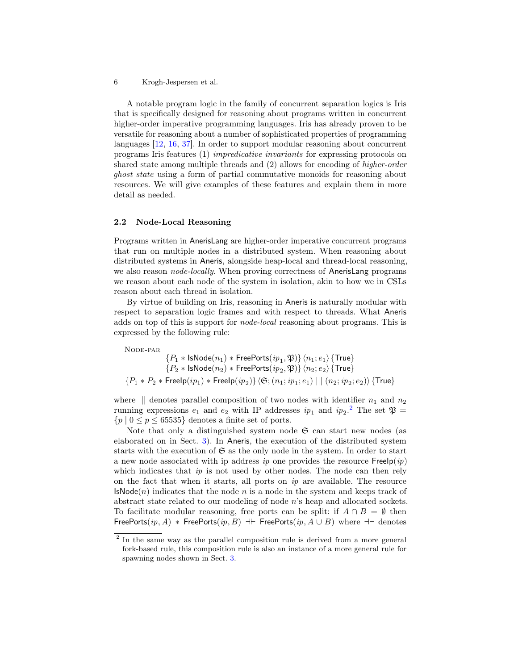A notable program logic in the family of concurrent separation logics is Iris that is specifically designed for reasoning about programs written in concurrent higher-order imperative programming languages. Iris has already proven to be versatile for reasoning about a number of sophisticated properties of programming languages [\[12,](#page-26-5) [16,](#page-26-6) [37\]](#page-28-7). In order to support modular reasoning about concurrent programs Iris features (1) impredicative invariants for expressing protocols on shared state among multiple threads and (2) allows for encoding of higher-order ghost state using a form of partial commutative monoids for reasoning about resources. We will give examples of these features and explain them in more detail as needed.

# 2.2 Node-Local Reasoning

Programs written in AnerisLang are higher-order imperative concurrent programs that run on multiple nodes in a distributed system. When reasoning about distributed systems in Aneris, alongside heap-local and thread-local reasoning, we also reason *node-locally*. When proving correctness of AnerisLang programs we reason about each node of the system in isolation, akin to how we in CSLs reason about each thread in isolation.

By virtue of building on Iris, reasoning in Aneris is naturally modular with respect to separation logic frames and with respect to threads. What Aneris adds on top of this is support for node-local reasoning about programs. This is expressed by the following rule:

<span id="page-5-0"></span>
$$
\text{Node-PAR} \quad \{P_1 * \textsf{IsNode}(n_1) * \textsf{FreePorts}(ip_1, \mathfrak{P})\} \langle n_1; e_1 \rangle \{\textsf{True}\} \quad \{P_2 * \textsf{IsNode}(n_2) * \textsf{FreePorts}(ip_2, \mathfrak{P})\} \langle n_2; e_2 \rangle \{\textsf{True}\} \quad \{P_1 * P_2 * \textsf{Freelp}(ip_1) * \textsf{Freelp}(ip_2)\} \langle \mathfrak{S}; (n_1; ip_1; e_1) \mid \mid \mid (n_2; ip_2; e_2) \rangle \{\textsf{True}\} \quad \}
$$

where  $\|$  denotes parallel composition of two nodes with identifier  $n_1$  and  $n_2$ running expressions  $e_1$  and  $e_2$  $e_2$  with IP addresses  $ip_1$  and  $ip_2$ <sup>2</sup>. The set  $\mathfrak{P} =$  ${p \mid 0 \leq p \leq 65535}$  denotes a finite set of ports.

Note that only a distinguished system node  $\mathfrak{S}$  can start new nodes (as elaborated on in Sect. [3\)](#page-11-0). In Aneris, the execution of the distributed system starts with the execution of  $\mathfrak S$  as the only node in the system. In order to start a new node associated with ip address ip one provides the resource  $\mathsf{Freelp}(ip)$ which indicates that  $ip$  is not used by other nodes. The node can then rely on the fact that when it starts, all ports on  $ip$  are available. The resource  $\textsf{IsNode}(n)$  indicates that the node n is a node in the system and keeps track of abstract state related to our modeling of node n's heap and allocated sockets. To facilitate modular reasoning, free ports can be split: if  $A \cap B = \emptyset$  then FreePorts $(ip, A)$  \* FreePorts $(ip, B)$  + FreePorts $(ip, A \cup B)$  where + denotes

<span id="page-5-1"></span><sup>&</sup>lt;sup>2</sup> In the same way as the parallel composition rule is derived from a more general fork-based rule, this composition rule is also an instance of a more general rule for spawning nodes shown in Sect. [3.](#page-11-0)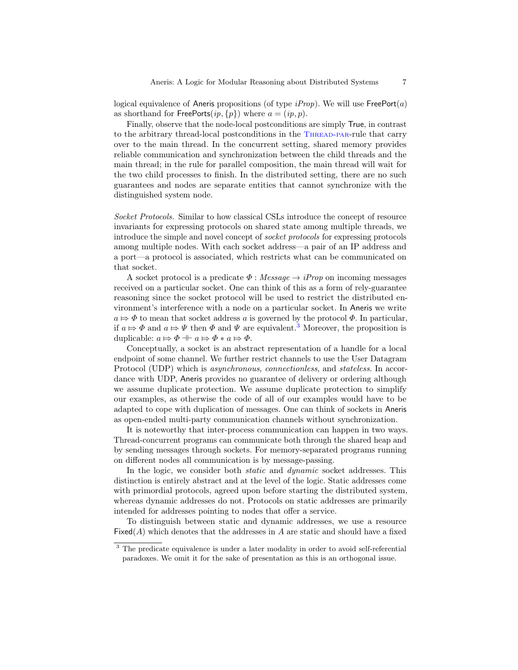logical equivalence of Aneris propositions (of type  $iProp$ ). We will use FreePort $(a)$ as shorthand for FreePorts $(ip, \{p\})$  where  $a = (ip, p)$ .

Finally, observe that the node-local postconditions are simply True, in contrast to the arbitrary thread-local postconditions in the [Thread-par](#page-4-0)-rule that carry over to the main thread. In the concurrent setting, shared memory provides reliable communication and synchronization between the child threads and the main thread; in the rule for parallel composition, the main thread will wait for the two child processes to finish. In the distributed setting, there are no such guarantees and nodes are separate entities that cannot synchronize with the distinguished system node.

Socket Protocols. Similar to how classical CSLs introduce the concept of resource invariants for expressing protocols on shared state among multiple threads, we introduce the simple and novel concept of socket protocols for expressing protocols among multiple nodes. With each socket address—a pair of an IP address and a port—a protocol is associated, which restricts what can be communicated on that socket.

A socket protocol is a predicate  $\Phi : Message \rightarrow iProp$  on incoming messages received on a particular socket. One can think of this as a form of rely-guarantee reasoning since the socket protocol will be used to restrict the distributed environment's interference with a node on a particular socket. In Aneris we write  $a \mapsto \Phi$  to mean that socket address a is governed by the protocol  $\Phi$ . In particular, if  $a \mapsto \Phi$  and  $a \mapsto \Psi$  then  $\Phi$  and  $\Psi$  are equivalent.<sup>[3](#page-6-0)</sup> Moreover, the proposition is duplicable:  $a \mapsto \Phi + a \mapsto \Phi * a \mapsto \Phi$ .

Conceptually, a socket is an abstract representation of a handle for a local endpoint of some channel. We further restrict channels to use the User Datagram Protocol (UDP) which is asynchronous, connectionless, and stateless. In accordance with UDP, Aneris provides no guarantee of delivery or ordering although we assume duplicate protection. We assume duplicate protection to simplify our examples, as otherwise the code of all of our examples would have to be adapted to cope with duplication of messages. One can think of sockets in Aneris as open-ended multi-party communication channels without synchronization.

It is noteworthy that inter-process communication can happen in two ways. Thread-concurrent programs can communicate both through the shared heap and by sending messages through sockets. For memory-separated programs running on different nodes all communication is by message-passing.

In the logic, we consider both *static* and *dynamic* socket addresses. This distinction is entirely abstract and at the level of the logic. Static addresses come with primordial protocols, agreed upon before starting the distributed system, whereas dynamic addresses do not. Protocols on static addresses are primarily intended for addresses pointing to nodes that offer a service.

To distinguish between static and dynamic addresses, we use a resource Fixed( $A$ ) which denotes that the addresses in  $A$  are static and should have a fixed

<span id="page-6-0"></span><sup>&</sup>lt;sup>3</sup> The predicate equivalence is under a later modality in order to avoid self-referential paradoxes. We omit it for the sake of presentation as this is an orthogonal issue.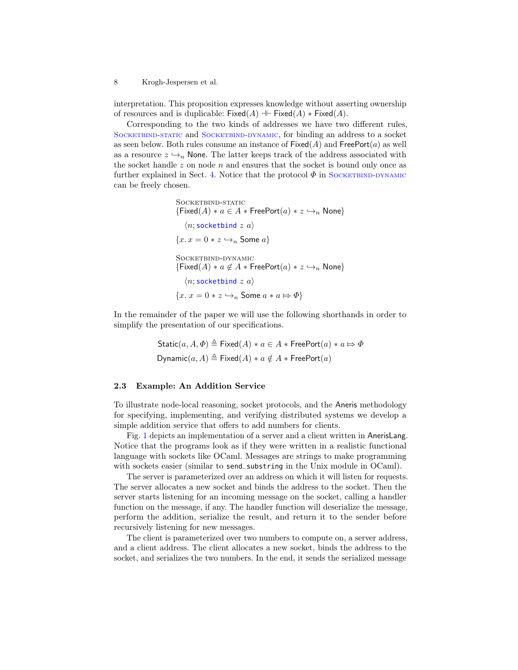interpretation. This proposition expresses knowledge without asserting ownership of resources and is duplicable: Fixed(A)  $\mathsf{H}\mathsf{Fixed}(A) * \mathsf{Fixed}(A)$ .

Corresponding to the two kinds of addresses we have two different rules, SOCKETBIND-STATIC and SOCKETBIND-DYNAMIC, for binding an address to a socket as seen below. Both rules consume an instance of  $Fixed(A)$  and  $FreePort(a)$  as well as a resource  $z \leftrightarrow_n$  None. The latter keeps track of the address associated with the socket handle  $z$  on node  $n$  and ensures that the socket is bound only once as further explained in Sect. [4.](#page-13-0) Notice that the protocol  $\Phi$  in SOCKETBIND-DYNAMIC can be freely chosen.

```
SOCKETBIND-STATIC
{Fixed}(A) * a \in A * FreePort(a) * z \hookrightarrow_n None}
   \langle n; socketbind z a \rangle{x \in \mathbb{R}^n : z \hookrightarrow_n \mathsf{Some} \; a}Socketbind-dynamic
{Fixed}(A) * a \notin A * FreePort(a) * z \hookrightarrow_n None}
   \langle n; socketbind z a \rangle{x \in \mathbb{R}^n : z \hookrightarrow_n \mathsf{Some} \; a * a \Rightarrow \varPhi}
```
In the remainder of the paper we will use the following shorthands in order to simplify the presentation of our specifications.

> Static $(a, A, \Phi) \triangleq$  Fixed $(A) * a \in A *$  FreePort $(a) * a \mapsto \Phi$ Dynamic $(a, A) \triangleq$  Fixed $(A) * a \notin A *$  FreePort $(a)$

## <span id="page-7-2"></span>2.3 Example: An Addition Service

To illustrate node-local reasoning, socket protocols, and the Aneris methodology for specifying, implementing, and verifying distributed systems we develop a simple addition service that offers to add numbers for clients.

Fig. [1](#page-8-0) depicts an implementation of a server and a client written in AnerisLang. Notice that the programs look as if they were written in a realistic functional language with sockets like OCaml. Messages are strings to make programming with sockets easier (similar to send\_substring in the Unix module in OCaml).

The server is parameterized over an address on which it will listen for requests. The server allocates a new socket and binds the address to the socket. Then the server starts listening for an incoming message on the socket, calling a handler function on the message, if any. The handler function will deserialize the message, perform the addition, serialize the result, and return it to the sender before recursively listening for new messages.

The client is parameterized over two numbers to compute on, a server address, and a client address. The client allocates a new socket, binds the address to the socket, and serializes the two numbers. In the end, it sends the serialized message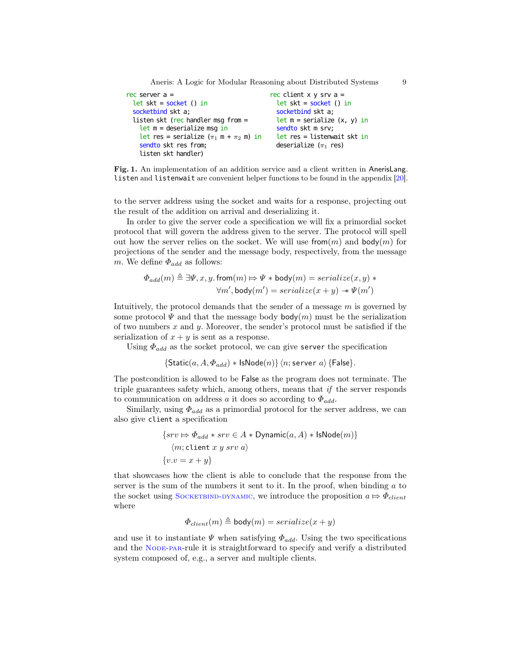Aneris: A Logic for Modular Reasoning about Distributed Systems 9

```
rec server a =
 let skt = socket () in
  socketbind skt a;
  listen skt (rec handler msg from =
   let m = deserialize msg in
   let res = serialize (\pi_1 m + \pi_2 m) in
    sendto skt res from;
    listen skt handler)
                                            rec client x \ y \ srv a =let skt = socket () in
                                              socketbind skt a;
                                              let m = serialize (x, y) in
                                              sendto skt m srv;
                                              let res = listenwait skt in
                                              deserialize (\pi_1 res)
```
<span id="page-8-0"></span>Fig. 1. An implementation of an addition service and a client written in AnerisLang. listen and listenwait are convenient helper functions to be found in the appendix [\[20\]](#page-27-8).

to the server address using the socket and waits for a response, projecting out the result of the addition on arrival and deserializing it.

In order to give the server code a specification we will fix a primordial socket protocol that will govern the address given to the server. The protocol will spell out how the server relies on the socket. We will use from  $(m)$  and body $(m)$  for projections of the sender and the message body, respectively, from the message m. We define  $\Phi_{add}$  as follows:

$$
\Phi_{add}(m) \triangleq \exists \Psi, x, y. \text{ from } (m) \mapsto \Psi * \text{body}(m) = serialize(x, y) * \forall m', \text{body}(m') = serialize(x + y) * \Psi(m')
$$

Intuitively, the protocol demands that the sender of a message  $m$  is governed by some protocol  $\Psi$  and that the message body body(m) must be the serialization of two numbers  $x$  and  $y$ . Moreover, the sender's protocol must be satisfied if the serialization of  $x + y$  is sent as a response.

Using  $\Phi_{add}$  as the socket protocol, we can give server the specification

{Static
$$
(a, A, \Phi_{add}) * IsNode(n)
$$
}  $\langle n$ ; server  $a \rangle$  {False}.

The postcondition is allowed to be False as the program does not terminate. The triple guarantees safety which, among others, means that if the server responds to communication on address a it does so according to  $\Phi_{add}$ .

Similarly, using  $\Phi_{add}$  as a primordial protocol for the server address, we can also give client a specification

$$
\{srv \mapsto \Phi_{add} * srv \in A * Dynamic(a, A) * IsNode(m)\}
$$

$$
\langle m; \text{client } x \ y \ srv \ a \rangle
$$

$$
\{v.v = x + y\}
$$

that showcases how the client is able to conclude that the response from the server is the sum of the numbers it sent to it. In the proof, when binding a to the socket using SOCKETBIND-DYNAMIC, we introduce the proposition  $a \Rightarrow \Phi_{client}$ where

$$
\Phi_{client}(m) \triangleq \text{body}(m) = serialize(x + y)
$$

and use it to instantiate  $\Psi$  when satisfying  $\Phi_{add}$ . Using the two specifications and the NODE-PAR-rule it is straightforward to specify and verify a distributed system composed of, e.g., a server and multiple clients.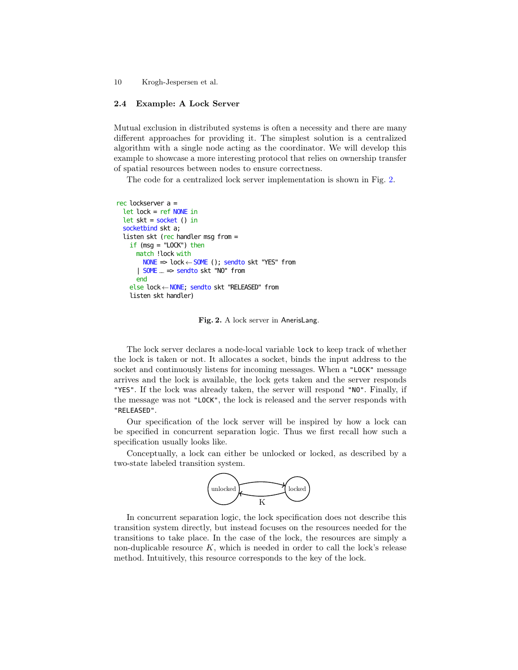#### 2.4 Example: A Lock Server

Mutual exclusion in distributed systems is often a necessity and there are many different approaches for providing it. The simplest solution is a centralized algorithm with a single node acting as the coordinator. We will develop this example to showcase a more interesting protocol that relies on ownership transfer of spatial resources between nodes to ensure correctness.

The code for a centralized lock server implementation is shown in Fig. [2.](#page-9-0)

```
rec lockserver a =
 let lock = ref NONE in
 let skt = socket () in
 socketbind skt a;
 listen skt (rec handler msg from =
   if (msg = "LOCK") then
     match !lock with
       NONE => lock←SOME (); sendto skt "YES" from
      | SOME __ => sendto skt "NO" from
     end
   else lock←NONE; sendto skt "RELEASED" from
   listen skt handler)
```
<span id="page-9-0"></span>Fig. 2. A lock server in AnerisLang.

The lock server declares a node-local variable lock to keep track of whether the lock is taken or not. It allocates a socket, binds the input address to the socket and continuously listens for incoming messages. When a "LOCK" message arrives and the lock is available, the lock gets taken and the server responds "YES". If the lock was already taken, the server will respond "NO". Finally, if the message was not "LOCK", the lock is released and the server responds with "RELEASED".

Our specification of the lock server will be inspired by how a lock can be specified in concurrent separation logic. Thus we first recall how such a specification usually looks like.

Conceptually, a lock can either be unlocked or locked, as described by a two-state labeled transition system.



In concurrent separation logic, the lock specification does not describe this transition system directly, but instead focuses on the resources needed for the transitions to take place. In the case of the lock, the resources are simply a non-duplicable resource  $K$ , which is needed in order to call the lock's release method. Intuitively, this resource corresponds to the key of the lock.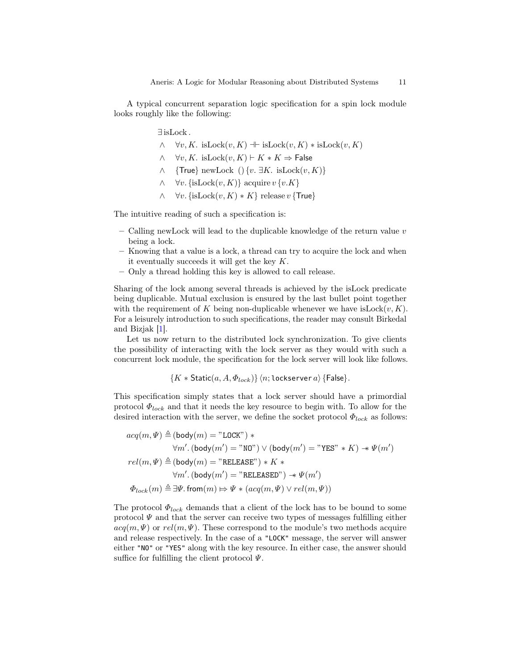A typical concurrent separation logic specification for a spin lock module looks roughly like the following:

#### ∃ isLock .

- $\wedge \quad \forall v, K. \text{ isLock}(v, K) \dashv \text{ isLock}(v, K) * \text{ isLock}(v, K)$
- $∧ \forall v, K.$  isLock $(v, K) \vdash K * K \Rightarrow$  False
- $\wedge$  {True} newLock () {v.  $\exists K$ . isLock $(v, K)$ }
- $\wedge \quad \forall v. \{\text{isLock}(v,K)\}\text{ acquire }v\{v.K\}$
- $\wedge \quad \forall v.$  {isLock $(v, K) * K$ } release  $v$  {True}

The intuitive reading of such a specification is:

- Calling newLock will lead to the duplicable knowledge of the return value  $v$ being a lock.
- Knowing that a value is a lock, a thread can try to acquire the lock and when it eventually succeeds it will get the key K.
- Only a thread holding this key is allowed to call release.

Sharing of the lock among several threads is achieved by the isLock predicate being duplicable. Mutual exclusion is ensured by the last bullet point together with the requirement of K being non-duplicable whenever we have  $iSLock(v, K)$ . For a leisurely introduction to such specifications, the reader may consult Birkedal and Bizjak [\[1\]](#page-25-5).

Let us now return to the distributed lock synchronization. To give clients the possibility of interacting with the lock server as they would with such a concurrent lock module, the specification for the lock server will look like follows.

$$
\{K*\textsf{Static}(a,A,\varPhi_{lock})\}\,\langle n;\textsf{Lockserver}\,a\rangle\,\{\textsf{False}\}.
$$

This specification simply states that a lock server should have a primordial protocol  $\Phi_{lock}$  and that it needs the key resource to begin with. To allow for the desired interaction with the server, we define the socket protocol  $\Phi_{lock}$  as follows:

$$
\begin{aligned} acq(m,\varPsi) &\triangleq (\text{body}(m) = "LOGK")\ast \\ &\forall m'.\ (\text{body}(m') = "NO") \vee (\text{body}(m') = "YES" \ast K) \twoheadrightarrow \varPsi(m')\\ rel(m,\varPsi) &\triangleq (\text{body}(m) = "RELEASE") \ast K \ast \\ &\forall m'.\ (\text{body}(m') = "RELEASE") \twoheadrightarrow \varPsi(m')\\ \varPhi_{lock}(m) &\triangleq \exists \varPsi.\ \text{from}(m) \mapsto \varPsi \ast (\text{acq}(m,\varPsi) \vee \text{rel}(m,\varPsi)) \end{aligned}
$$

The protocol  $\Phi_{lock}$  demands that a client of the lock has to be bound to some protocol  $\Psi$  and that the server can receive two types of messages fulfilling either  $acq(m, \Psi)$  or  $rel(m, \Psi)$ . These correspond to the module's two methods acquire and release respectively. In the case of a "LOCK" message, the server will answer either "NO" or "YES" along with the key resource. In either case, the answer should suffice for fulfilling the client protocol  $\Psi$ .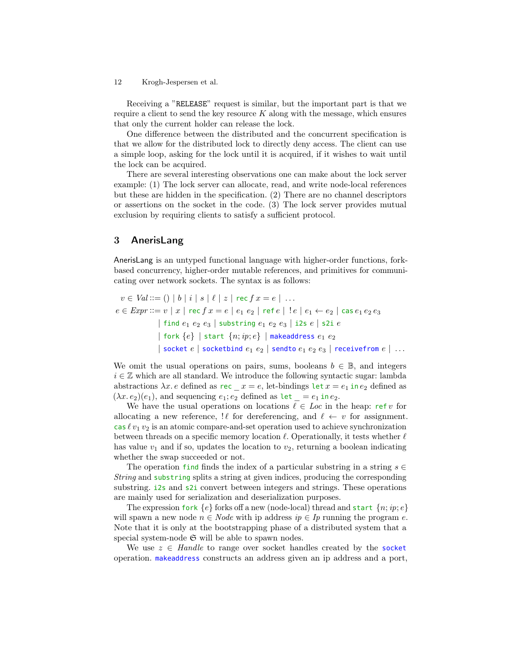Receiving a "RELEASE" request is similar, but the important part is that we require a client to send the key resource  $K$  along with the message, which ensures that only the current holder can release the lock.

One difference between the distributed and the concurrent specification is that we allow for the distributed lock to directly deny access. The client can use a simple loop, asking for the lock until it is acquired, if it wishes to wait until the lock can be acquired.

There are several interesting observations one can make about the lock server example: (1) The lock server can allocate, read, and write node-local references but these are hidden in the specification. (2) There are no channel descriptors or assertions on the socket in the code. (3) The lock server provides mutual exclusion by requiring clients to satisfy a sufficient protocol.

# <span id="page-11-0"></span>3 AnerisLang

AnerisLang is an untyped functional language with higher-order functions, forkbased concurrency, higher-order mutable references, and primitives for communicating over network sockets. The syntax is as follows:

 $v \in Val ::= () | b | i | s | \ell | z | \text{rec} f x = e | \dots$  $e \in \text{Expr} ::= v \mid x \mid \text{rec} f x = e \mid e_1 \mid e_2 \mid \text{ref} e \mid \text{! } e \mid e_1 \leftarrow e_2 \mid \text{cas} e_1 \mid e_2 \mid e_3$ | find  $e_1$   $e_2$   $e_3$  | substring  $e_1$   $e_2$   $e_3$  | i2s  $e$  | s2i  $e$ | fork  $\{e\}$  | start  $\{n; ip; e\}$  | makeaddress  $e_1 e_2$ | socket  $e$  | socketbind  $e_1 e_2$  | sendto  $e_1 e_2 e_3$  | receivefrom  $e$  | ...

We omit the usual operations on pairs, sums, booleans  $b \in \mathbb{B}$ , and integers  $i \in \mathbb{Z}$  which are all standard. We introduce the following syntactic sugar: lambda abstractions  $\lambda x. e$  defined as rec  $x = e$ , let-bindings let  $x = e_1$  in  $e_2$  defined as  $(\lambda x. e_2)(e_1)$ , and sequencing  $e_1$ ;  $e_2$  defined as let  $= e_1$  in  $e_2$ .

We have the usual operations on locations  $\ell \in Loc$  in the heap: ref v for allocating a new reference,  $\ell$  for dereferencing, and  $\ell \leftarrow v$  for assignment. cas  $\ell v_1 v_2$  is an atomic compare-and-set operation used to achieve synchronization between threads on a specific memory location  $\ell$ . Operationally, it tests whether  $\ell$ has value  $v_1$  and if so, updates the location to  $v_2$ , returning a boolean indicating whether the swap succeeded or not.

The operation find finds the index of a particular substring in a string  $s \in \mathbb{R}$ String and substring splits a string at given indices, producing the corresponding substring. i2s and s2i convert between integers and strings. These operations are mainly used for serialization and deserialization purposes.

The expression fork  ${e}$  forks off a new (node-local) thread and start  ${n; ip; e}$ will spawn a new node  $n \in Node$  with ip address  $ip \in Ip$  running the program e. Note that it is only at the bootstrapping phase of a distributed system that a special system-node  $\mathfrak{S}$  will be able to spawn nodes.

We use  $z \in$  Handle to range over socket handles created by the socket operation. makeaddress constructs an address given an ip address and a port,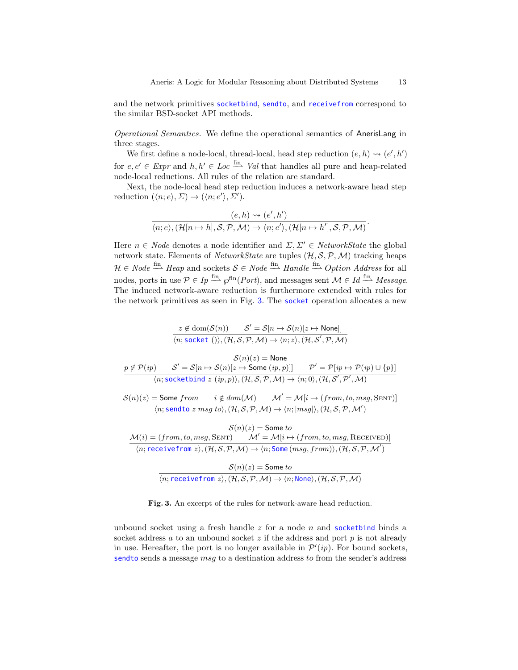and the network primitives socketbind, sendto, and receivefrom correspond to the similar BSD-socket API methods.

Operational Semantics. We define the operational semantics of AnerisLang in three stages.

We first define a node-local, thread-local, head step reduction  $(e, h) \rightsquigarrow (e', h')$ for  $e, e' \in E$ xpr and  $h, h' \in Loc \stackrel{\text{fin}}{\longrightarrow} Val$  that handles all pure and heap-related node-local reductions. All rules of the relation are standard.

Next, the node-local head step reduction induces a network-aware head step reduction  $(\langle n; e \rangle, \Sigma) \rightarrow (\langle n; e' \rangle, \Sigma').$ 

$$
\frac{(e,h)\leadsto(e',h')}{\langle n;e\rangle,(\mathcal{H}[n\mapsto h],\mathcal{S},\mathcal{P},\mathcal{M})\to\langle n;e'\rangle,(\mathcal{H}[n\mapsto h'],\mathcal{S},\mathcal{P},\mathcal{M})}.
$$

Here  $n \in Node$  denotes a node identifier and  $\Sigma, \Sigma' \in NetworkState$  the global network state. Elements of NetworkState are tuples  $(\mathcal{H}, \mathcal{S}, \mathcal{P}, \mathcal{M})$  tracking heaps  $\mathcal{H} \in Node \stackrel{\text{fin}}{\longrightarrow} \text{Heap}$  and sockets  $\mathcal{S} \in Node \stackrel{\text{fin}}{\longrightarrow} \text{Handle} \stackrel{\text{fin}}{\longrightarrow} \text{Option}$  Address for all nodes, ports in use  $P \in Ip \stackrel{\text{fin}}{\longrightarrow} \wp^{\text{fin}}(Port)$ , and messages sent  $\mathcal{M} \in Id \stackrel{\text{fin}}{\longrightarrow} Message$ . The induced network-aware reduction is furthermore extended with rules for the network primitives as seen in Fig. [3.](#page-12-0) The socket operation allocates a new

$$
z \notin \text{dom}(\mathcal{S}(n)) \qquad \mathcal{S}' = \mathcal{S}[n \mapsto \mathcal{S}(n)[z \mapsto \text{None}]]
$$

$$
\langle n; \text{socket}(n), (\mathcal{H}, \mathcal{S}, \mathcal{P}, \mathcal{M}) \rightarrow \langle n; z \rangle, (\mathcal{H}, \mathcal{S}', \mathcal{P}, \mathcal{M})
$$

$$
\mathcal{S}(n)(z) = \text{None}
$$
\n
$$
\frac{p \notin \mathcal{P}(ip) \qquad \mathcal{S}' = \mathcal{S}[n \mapsto \mathcal{S}(n)[z \mapsto \text{Some } (ip, p)]] \qquad \mathcal{P}' = \mathcal{P}[ip \mapsto \mathcal{P}(ip) \cup \{p\}]}{\langle n; \text{socketbind } z \ (ip, p) \rangle, (\mathcal{H}, \mathcal{S}, \mathcal{P}, \mathcal{M}) \rightarrow \langle n; 0 \rangle, (\mathcal{H}, \mathcal{S}', \mathcal{P}', \mathcal{M})}
$$

$$
\frac{\mathcal{S}(n)(z) = \text{Some from} \qquad i \notin dom(\mathcal{M}) \qquad \mathcal{M}' = \mathcal{M}[i \mapsto (from, to, msg, \text{SENT})]}{\langle n; \text{ sendto } z \; msg \; to \rangle, (\mathcal{H}, \mathcal{S}, \mathcal{P}, \mathcal{M}) \to \langle n; \vert msg \vert \rangle, (\mathcal{H}, \mathcal{S}, \mathcal{P}, \mathcal{M}')}
$$

 $S(n)(z)$  = Some to  $\mathcal{M}(i) = (from, to, msg, \text{SENT}) \quad \mathcal{M}' = \mathcal{M}[i \mapsto (from, to, msg, \text{RECEIVED})]$  $\langle n; \text{receiverrom } z \rangle, (\mathcal{H}, \mathcal{S}, \mathcal{P}, \mathcal{M}) \to \langle n; \text{Some } (msg, from) \rangle, (\mathcal{H}, \mathcal{S}, \mathcal{P}, \mathcal{M}')$ 

| $S(n)(z)$ = Some to                                                                                                                                                                               |
|---------------------------------------------------------------------------------------------------------------------------------------------------------------------------------------------------|
| $\langle n; \text{receiverrom } z \rangle, (\mathcal{H}, \mathcal{S}, \mathcal{P}, \mathcal{M}) \rightarrow \langle n; \text{None} \rangle, (\mathcal{H}, \mathcal{S}, \mathcal{P}, \mathcal{M})$ |

<span id="page-12-0"></span>Fig. 3. An excerpt of the rules for network-aware head reduction.

unbound socket using a fresh handle  $z$  for a node n and socketbind binds a socket address a to an unbound socket  $z$  if the address and port  $p$  is not already in use. Hereafter, the port is no longer available in  $\mathcal{P}'(ip)$ . For bound sockets, send to sends a message msg to a destination address to from the sender's address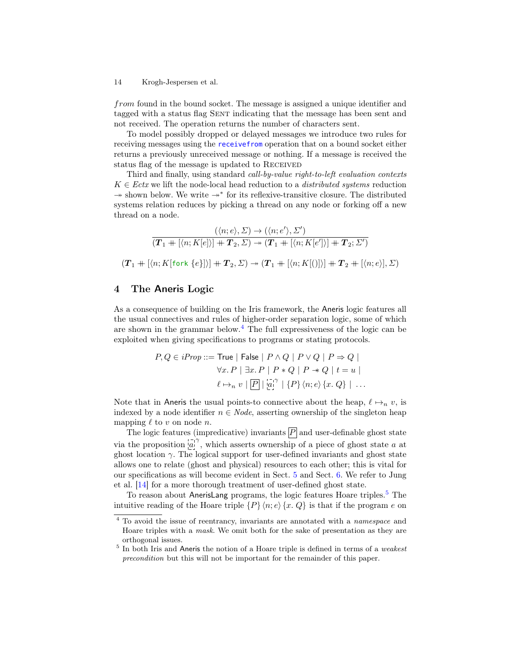from found in the bound socket. The message is assigned a unique identifier and tagged with a status flag Sent indicating that the message has been sent and not received. The operation returns the number of characters sent.

To model possibly dropped or delayed messages we introduce two rules for receiving messages using the receivefrom operation that on a bound socket either returns a previously unreceived message or nothing. If a message is received the status flag of the message is updated to RECEIVED

Third and finally, using standard call-by-value right-to-left evaluation contexts  $K \in Ectx$  we lift the node-local head reduction to a *distributed systems* reduction  $\rightarrow$  shown below. We write  $\nrightarrow^*$  for its reflexive-transitive closure. The distributed systems relation reduces by picking a thread on any node or forking off a new thread on a node.

$$
(\langle n; e \rangle, \Sigma) \to (\langle n; e' \rangle, \Sigma')
$$
  

$$
\overline{(T_1 + [\langle n; K[e] \rangle] + T_2, \Sigma)} \to (T_1 + [\langle n; K[e'] \rangle] + T_2; \Sigma')
$$
  

$$
(\overline{T_1} + [\langle n; K[\text{fork } \{e\}] \rangle] + T_2, \Sigma) \to (\overline{T_1} + [\langle n; K[()] \rangle] + T_2 + [\langle n; e \rangle], \Sigma)
$$

# <span id="page-13-0"></span>4 The Aneris Logic

As a consequence of building on the Iris framework, the Aneris logic features all the usual connectives and rules of higher-order separation logic, some of which are shown in the grammar below.<sup>[4](#page-13-1)</sup> The full expressiveness of the logic can be exploited when giving specifications to programs or stating protocols.

$$
P, Q \in iProp ::= \text{True} \mid \text{False} \mid P \land Q \mid P \lor Q \mid P \Rightarrow Q \mid
$$

$$
\forall x. P \mid \exists x. P \mid P * Q \mid P \Rightarrow Q \mid t = u \mid
$$

$$
\ell \mapsto_n v \mid \boxed{P} \mid \boxed{a}^{\tau, \gamma} \mid \{P\} \langle n; e \rangle \{x, Q\} \mid \dots
$$

Note that in Aneris the usual points-to connective about the heap,  $\ell \mapsto_n v$ , is indexed by a node identifier  $n \in Node$ , asserting ownership of the singleton heap mapping  $\ell$  to v on node n.

The logic features (impredicative) invariants  $\overline{P}$  and user-definable ghost state via the proposition  $[a]$ , which asserts ownership of a piece of ghost state a at ghost location  $\gamma$ . The logical support for user-defined invariants and ghost state allows one to relate (ghost and physical) resources to each other; this is vital for our specifications as will become evident in Sect. [5](#page-17-0) and Sect. [6.](#page-20-0) We refer to Jung et al. [\[14\]](#page-26-7) for a more thorough treatment of user-defined ghost state.

To reason about AnerisLang programs, the logic features Hoare triples.[5](#page-13-2) The intuitive reading of the Hoare triple  $\{P\}\langle n; e \rangle \{x, Q\}$  is that if the program e on

<span id="page-13-1"></span><sup>&</sup>lt;sup>4</sup> To avoid the issue of reentrancy, invariants are annotated with a *namespace* and Hoare triples with a mask. We omit both for the sake of presentation as they are orthogonal issues.

<span id="page-13-2"></span><sup>&</sup>lt;sup>5</sup> In both Iris and Aneris the notion of a Hoare triple is defined in terms of a *weakest* precondition but this will not be important for the remainder of this paper.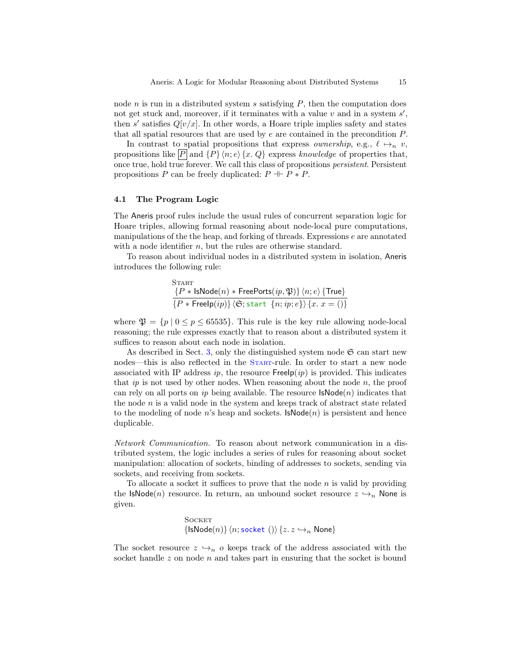node n is run in a distributed system s satisfying  $P$ , then the computation does not get stuck and, moreover, if it terminates with a value  $v$  and in a system  $s'$ , then s' satisfies  $Q[v/x]$ . In other words, a Hoare triple implies safety and states that all spatial resources that are used by  $e$  are contained in the precondition  $P$ .

In contrast to spatial propositions that express *ownership*, e.g.,  $\ell \mapsto_n v$ , propositions like  $\overline{P}$  and  $\{P\}$   $\langle n; e \rangle$   $\{x, Q\}$  express knowledge of properties that, once true, hold true forever. We call this class of propositions persistent. Persistent propositions P can be freely duplicated:  $P + P * P$ .

#### 4.1 The Program Logic

The Aneris proof rules include the usual rules of concurrent separation logic for Hoare triples, allowing formal reasoning about node-local pure computations, manipulations of the the heap, and forking of threads. Expressions e are annotated with a node identifier  $n$ , but the rules are otherwise standard.

To reason about individual nodes in a distributed system in isolation, Aneris introduces the following rule:

<span id="page-14-0"></span>
$$
\frac{\{\text{TrART}\{\text{P} \cdot \text{IsNode}(n) \cdot \text{FreePorts}(ip, \mathfrak{P})\}} \langle n; e \rangle \{\text{True}\}}{\{P \cdot \text{Freelp}(ip)\} \langle \mathfrak{S}; \text{start} \{n; ip; e\} \rangle \{x. x = ()\}}
$$

where  $\mathfrak{P} = \{p \mid 0 \leq p \leq 65535\}$ . This rule is the key rule allowing node-local reasoning; the rule expresses exactly that to reason about a distributed system it suffices to reason about each node in isolation.

As described in Sect. [3,](#page-11-0) only the distinguished system node  $\mathfrak{S}$  can start new nodes—this is also reflected in the [Start](#page-14-0)-rule. In order to start a new node associated with IP address  $ip$ , the resource  $\mathsf{Freelp}(ip)$  is provided. This indicates that  $ip$  is not used by other nodes. When reasoning about the node  $n$ , the proof can rely on all ports on ip being available. The resource  $\mathsf{lsNode}(n)$  indicates that the node  $n$  is a valid node in the system and keeps track of abstract state related to the modeling of node n's heap and sockets.  $\mathsf{lsNode}(n)$  is persistent and hence duplicable.

Network Communication. To reason about network communication in a distributed system, the logic includes a series of rules for reasoning about socket manipulation: allocation of sockets, binding of addresses to sockets, sending via sockets, and receiving from sockets.

To allocate a socket it suffices to prove that the node  $n$  is valid by providing the  $\textsf{lsNode}(n)$  resource. In return, an unbound socket resource  $z \hookrightarrow_n \textsf{None}$  is given.

```
SOCKET
\{\textsf{IsNode}(n)\}\langle n; \textsf{socket}(n)\rangle \{z. z \rightarrow_n \textsf{None}\}\
```
The socket resource  $z \leftrightarrow_n o$  keeps track of the address associated with the socket handle  $z$  on node  $n$  and takes part in ensuring that the socket is bound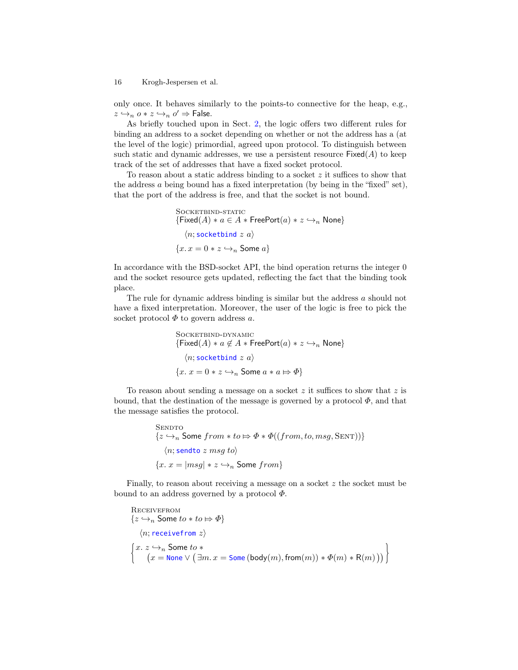only once. It behaves similarly to the points-to connective for the heap, e.g.,  $z \hookrightarrow_n o * z \hookrightarrow_n o' \Rightarrow \textsf{False}.$ 

As briefly touched upon in Sect. [2,](#page-3-0) the logic offers two different rules for binding an address to a socket depending on whether or not the address has a (at the level of the logic) primordial, agreed upon protocol. To distinguish between such static and dynamic addresses, we use a persistent resource  $Fixed(A)$  to keep track of the set of addresses that have a fixed socket protocol.

To reason about a static address binding to a socket z it suffices to show that the address  $\alpha$  being bound has a fixed interpretation (by being in the "fixed" set), that the port of the address is free, and that the socket is not bound.

$$
\begin{aligned} &\text{SockETBIND-STATE} \\ &\{\text{Fixed}(A)*a \in A*\text{FreePort}(a)*z \hookrightarrow_n \text{None}\} \\ &\langle n; \text{socketbind } z \ a\rangle \\ &\{x \ldotp x = 0 * z \hookrightarrow_n \text{ Some } a\} \end{aligned}
$$

In accordance with the BSD-socket API, the bind operation returns the integer 0 and the socket resource gets updated, reflecting the fact that the binding took place.

The rule for dynamic address binding is similar but the address a should not have a fixed interpretation. Moreover, the user of the logic is free to pick the socket protocol  $\Phi$  to govern address a.

```
Socketbind-dynamic
{Fixed}(A) * a \notin A * FreePort(a) * z \hookrightarrow_n None\langle n; socketbind z a \rangle{x \in \mathbb{R}^n : z \hookrightarrow_n \mathsf{Some} \; a * a \Rightarrow \varPhi}
```
To reason about sending a message on a socket  $z$  it suffices to show that  $z$  is bound, that the destination of the message is governed by a protocol  $\Phi$ , and that the message satisfies the protocol.

$$
\begin{aligned} & \text{SENDTO} \\ & \{z \hookrightarrow_n \text{Some } from * to \Rightarrow \Phi * \Phi((from, to, msg, \text{SENT}))\} \\ & \langle n; \text{sendto } z~ msg\ to \rangle \\ & \{x.~x = \lfloor msg \rfloor * z \hookrightarrow_n \text{Some } from\} \end{aligned}
$$

Finally, to reason about receiving a message on a socket  $z$  the socket must be bound to an address governed by a protocol  $\Phi$ .

$$
\begin{array}{l} \mbox{RECEIVERROM} \\ \{z \hookrightarrow_n \mbox{ Some } to \ast\ to \Rightarrow \varPhi\} \\ \big\langle n; \mbox{receiver from } z \rangle \\ \left\{ x. \ z \hookrightarrow_n \mbox{ Some } to \ast \\ \big(x = \mbox{None } \vee \big( \exists m. \ x = \mbox{Some } (\mbox{body}(m), \mbox{from}(m)) \ast \varPhi(m) \ast \mbox{R}(m) \big) \big) \right\} \end{array}
$$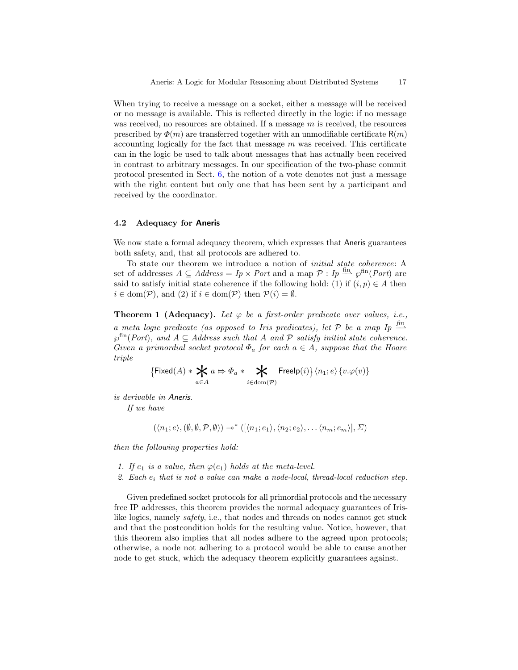When trying to receive a message on a socket, either a message will be received or no message is available. This is reflected directly in the logic: if no message was received, no resources are obtained. If a message  $m$  is received, the resources prescribed by  $\Phi(m)$  are transferred together with an unmodifiable certificate R(m) accounting logically for the fact that message  $m$  was received. This certificate can in the logic be used to talk about messages that has actually been received in contrast to arbitrary messages. In our specification of the two-phase commit protocol presented in Sect. [6,](#page-20-0) the notion of a vote denotes not just a message with the right content but only one that has been sent by a participant and received by the coordinator.

## 4.2 Adequacy for Aneris

We now state a formal adequacy theorem, which expresses that Aneris guarantees both safety, and, that all protocols are adhered to.

To state our theorem we introduce a notion of initial state coherence: A set of addresses  $A \subseteq Address = Ip \times Port$  and a map  $P : Ip \stackrel{\text{fin}}{\longrightarrow} \wp^{\text{fin}}(Port)$  are said to satisfy initial state coherence if the following hold: (1) if  $(i, p) \in A$  then  $i \in \text{dom}(\mathcal{P})$ , and  $(2)$  if  $i \in \text{dom}(\mathcal{P})$  then  $\mathcal{P}(i) = \emptyset$ .

**Theorem 1 (Adequacy).** Let  $\varphi$  be a first-order predicate over values, i.e., a meta logic predicate (as opposed to Iris predicates), let P be a map Ip  $\frac{fn}{\longrightarrow}$  $\varphi^{\text{fin}}(Port)$ , and  $A \subseteq$  Address such that A and P satisfy initial state coherence. Given a primordial socket protocol  $\Phi_a$  for each  $a \in A$ , suppose that the Hoare triple

$$
\{\mathsf{Fixed}(A) * \bigtimes_{a \in A} a \mapsto \Phi_a * \bigtimes_{i \in \text{dom}(\mathcal{P})} \mathsf{Freelp}(i) \} \langle n_1; e \rangle \{v \cdot \varphi(v)\}
$$

is derivable in Aneris.

If we have

$$
(\langle n_1; e \rangle, (\emptyset, \emptyset, \mathcal{P}, \emptyset)) \rightarrow^* ([\langle n_1; e_1 \rangle, \langle n_2; e_2 \rangle, \dots \langle n_m; e_m \rangle], \Sigma)
$$

then the following properties hold:

- 1. If  $e_1$  is a value, then  $\varphi(e_1)$  holds at the meta-level.
- 2. Each  $e_i$  that is not a value can make a node-local, thread-local reduction step.

Given predefined socket protocols for all primordial protocols and the necessary free IP addresses, this theorem provides the normal adequacy guarantees of Irislike logics, namely safety, i.e., that nodes and threads on nodes cannot get stuck and that the postcondition holds for the resulting value. Notice, however, that this theorem also implies that all nodes adhere to the agreed upon protocols; otherwise, a node not adhering to a protocol would be able to cause another node to get stuck, which the adequacy theorem explicitly guarantees against.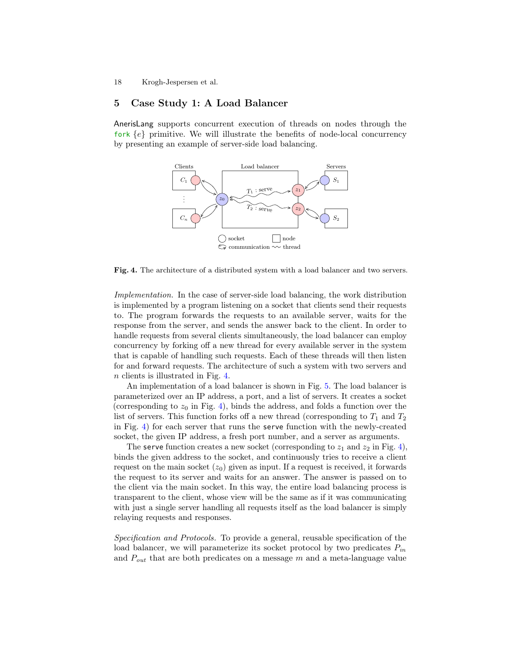# <span id="page-17-0"></span>5 Case Study 1: A Load Balancer

AnerisLang supports concurrent execution of threads on nodes through the fork  $\{e\}$  primitive. We will illustrate the benefits of node-local concurrency by presenting an example of server-side load balancing.



<span id="page-17-1"></span>Fig. 4. The architecture of a distributed system with a load balancer and two servers.

Implementation. In the case of server-side load balancing, the work distribution is implemented by a program listening on a socket that clients send their requests to. The program forwards the requests to an available server, waits for the response from the server, and sends the answer back to the client. In order to handle requests from several clients simultaneously, the load balancer can employ concurrency by forking off a new thread for every available server in the system that is capable of handling such requests. Each of these threads will then listen for and forward requests. The architecture of such a system with two servers and n clients is illustrated in Fig. [4.](#page-17-1)

An implementation of a load balancer is shown in Fig. [5.](#page-18-0) The load balancer is parameterized over an IP address, a port, and a list of servers. It creates a socket (corresponding to  $z_0$  in Fig. [4\)](#page-17-1), binds the address, and folds a function over the list of servers. This function forks off a new thread (corresponding to  $T_1$  and  $T_2$ ) in Fig. [4\)](#page-17-1) for each server that runs the serve function with the newly-created socket, the given IP address, a fresh port number, and a server as arguments.

The serve function creates a new socket (corresponding to  $z_1$  and  $z_2$  in Fig. [4\)](#page-17-1), binds the given address to the socket, and continuously tries to receive a client request on the main socket  $(z_0)$  given as input. If a request is received, it forwards the request to its server and waits for an answer. The answer is passed on to the client via the main socket. In this way, the entire load balancing process is transparent to the client, whose view will be the same as if it was communicating with just a single server handling all requests itself as the load balancer is simply relaying requests and responses.

Specification and Protocols. To provide a general, reusable specification of the load balancer, we will parameterize its socket protocol by two predicates  $P_{in}$ and  $P_{out}$  that are both predicates on a message m and a meta-language value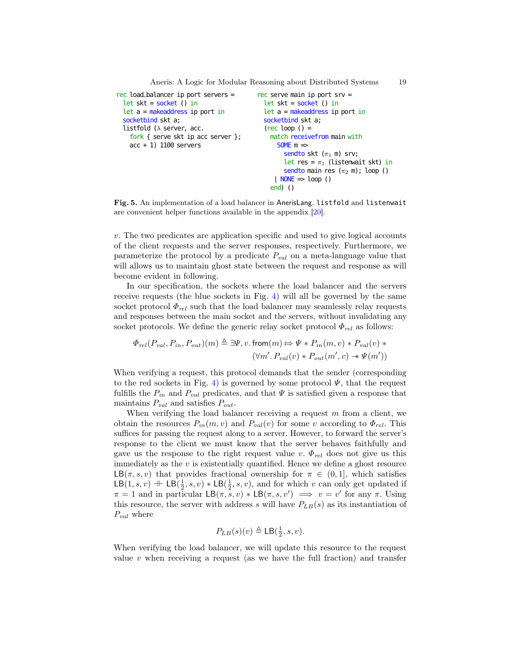```
rec load__balancer ip port servers =
  let skt = socket () in
  let a = makeaddress ip port in
  socketbind skt a;
  listfold (\lambda server, acc.
    fork { serve skt ip acc server };
    acc + 1) 1100 servers
                                             rec serve main ip port srv =
                                                let skt = socket () in
                                                let a = makeaddress ip port in
                                                socketbind skt a;
                                                (rec loop() =match receivefrom main with
                                                    SOME m \Rightarrowsendto skt (\pi_1 m) srv;
                                                      let res = \pi_1 (listenwait skt) in
                                                      sendto main res (\pi_2 \text{ m}); loop ()
                                                   | NONE \Rightarrow loop ()
                                                  end) ()
```
<span id="page-18-0"></span>Fig. 5. An implementation of a load balancer in AnerisLang. listfold and listenwait are convenient helper functions available in the appendix [\[20\]](#page-27-8).

v. The two predicates are application specific and used to give logical accounts of the client requests and the server responses, respectively. Furthermore, we parameterize the protocol by a predicate  $P_{val}$  on a meta-language value that will allows us to maintain ghost state between the request and response as will become evident in following.

In our specification, the sockets where the load balancer and the servers receive requests (the blue sockets in Fig. [4\)](#page-17-1) will all be governed by the same socket protocol  $\Phi_{rel}$  such that the load balancer may seamlessly relay requests and responses between the main socket and the servers, without invalidating any socket protocols. We define the generic relay socket protocol  $\Phi_{rel}$  as follows:

$$
\Phi_{rel}(P_{val}, P_{in}, P_{out})(m) \triangleq \exists \Psi, v. \text{ from } (m) \mapsto \Psi * P_{in}(m, v) * P_{val}(v) *(\forall m'. P_{val}(v) * P_{out}(m', v) \rightarrow \Psi(m'))
$$

When verifying a request, this protocol demands that the sender (corresponding to the red sockets in Fig. [4\)](#page-17-1) is governed by some protocol  $\Psi$ , that the request fulfills the  $P_{in}$  and  $P_{val}$  predicates, and that  $\Psi$  is satisfied given a response that maintains  $P_{val}$  and satisfies  $P_{out}$ .

When verifying the load balancer receiving a request  $m$  from a client, we obtain the resources  $P_{in}(m, v)$  and  $P_{val}(v)$  for some v according to  $\Phi_{rel}$ . This suffices for passing the request along to a server. However, to forward the server's response to the client we must know that the server behaves faithfully and gave us the response to the right request value v.  $\Phi_{rel}$  does not give us this immediately as the  $v$  is existentially quantified. Hence we define a ghost resource  $\textsf{LB}(\pi, s, v)$  that provides fractional ownership for  $\pi \in (0, 1]$ , which satisfies  $\textsf{LB}(1, s, v) \dashv \textsf{LB}(\frac{1}{2}, s, v) * \textsf{LB}(\frac{1}{2}, s, v)$ , and for which v can only get updated if  $\pi = 1$  and in particular  $\mathsf{LB}(\pi, s, v) * \mathsf{LB}(\pi, s, v') \implies v = v'$  for any  $\pi$ . Using this resource, the server with address s will have  $P_{LB}(s)$  as its instantiation of  $P_{val}$  where

$$
P_{LB}(s)(v) \triangleq \text{LB}(\tfrac{1}{2},s,v).
$$

When verifying the load balancer, we will update this resource to the request value  $v$  when receiving a request (as we have the full fraction) and transfer

Aneris: A Logic for Modular Reasoning about Distributed Systems 19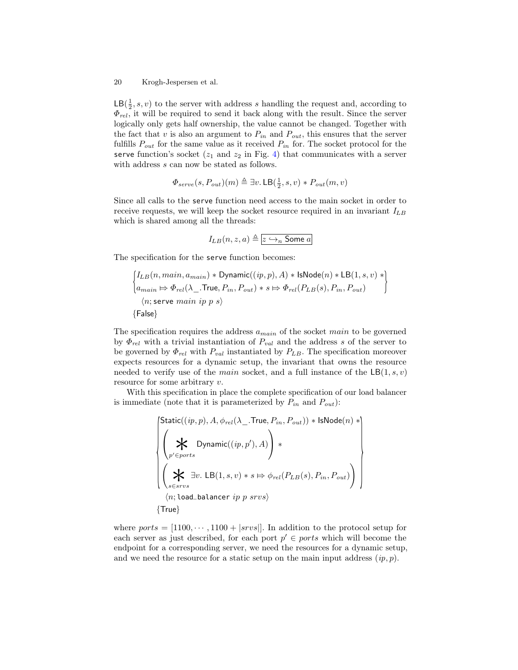$\textsf{LB}(\frac{1}{2},s,v)$  to the server with address s handling the request and, according to  $\Phi_{rel}$ , it will be required to send it back along with the result. Since the server logically only gets half ownership, the value cannot be changed. Together with the fact that v is also an argument to  $P_{in}$  and  $P_{out}$ , this ensures that the server fulfills  $P_{out}$  for the same value as it received  $P_{in}$  for. The socket protocol for the serve function's socket  $(z_1 \text{ and } z_2 \text{ in Fig. 4})$  that communicates with a server with address s can now be stated as follows.

$$
\varPhi_{serve}(s, P_{out})(m) \triangleq \exists v. \, \mathsf{LB}(\tfrac{1}{2}, s, v) * P_{out}(m, v)
$$

Since all calls to the serve function need access to the main socket in order to receive requests, we will keep the socket resource required in an invariant  $I_{LB}$ which is shared among all the threads:

$$
I_{LB}(n,z,a) \triangleq \boxed{z \hookrightarrow_n \text{Some } a}
$$

The specification for the serve function becomes:

$$
\left\{\n\begin{aligned}\nI_{LB}(n, main, a_{main}) & \times \text{Dynamic}((ip, p), A) & \times \text{IsNode}(n) & \times \text{LB}(1, s, v) & \times \\
a_{main} & \mapsto \Phi_{rel}(\lambda \_.\text{True}, P_{in}, P_{out}) & \times s & \mapsto \Phi_{rel}(P_{LB}(s), P_{in}, P_{out}) \\
(n; \text{serve } main \text{ } ip \text{ } p \text{ } s)\n\end{aligned}\n\right\}
$$

The specification requires the address  $a_{\text{main}}$  of the socket main to be governed by  $\Phi_{rel}$  with a trivial instantiation of  $P_{val}$  and the address s of the server to be governed by  $\Phi_{rel}$  with  $P_{val}$  instantiated by  $P_{LB}$ . The specification moreover expects resources for a dynamic setup, the invariant that owns the resource needed to verify use of the *main* socket, and a full instance of the  $\text{LB}(1, s, v)$ resource for some arbitrary v.

With this specification in place the complete specification of our load balancer is immediate (note that it is parameterized by  $P_{in}$  and  $P_{out}$ ):

$$
\begin{pmatrix}\n\text{Static}((ip, p), A, \phi_{rel}(\lambda \_.\text{True}, P_{in}, P_{out})) * \text{IsNode}(n) * \\
\left(\bigstar \text{Dynamic}((ip, p'), A)\right) * \\
\left(\bigstar \text{ Dynamic}((ip, p'), A)\right) * \\
\left(\bigstar \text{ E.} \exists v. \text{ LB}(1, s, v) * s \Rightarrow \phi_{rel}(P_{LB}(s), P_{in}, P_{out})\right) \\
\left(\bigstar \text{ S.} \exists v. \text{ LB}(1, s, v) * s \Rightarrow \phi_{rel}(P_{LB}(s), P_{in}, P_{out})\right) \\\\ \text{True}\n\end{pmatrix}
$$

where  $ports = [1100, \dots, 1100 + |srvs|]$ . In addition to the protocol setup for each server as just described, for each port  $p' \in ports$  which will become the endpoint for a corresponding server, we need the resources for a dynamic setup, and we need the resource for a static setup on the main input address  $(ip, p)$ .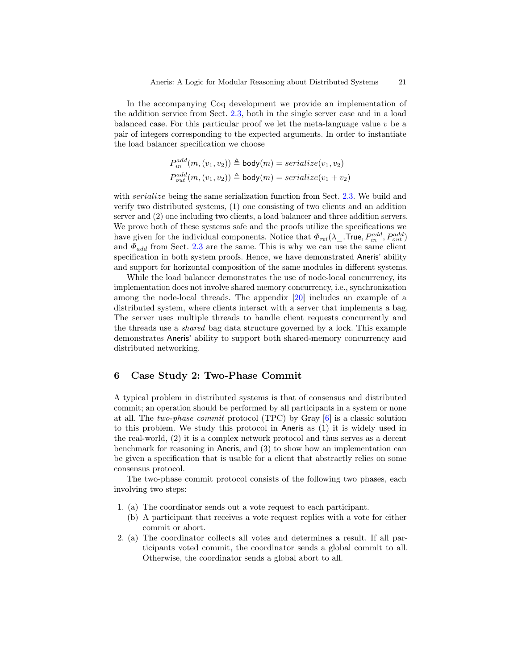In the accompanying Coq development we provide an implementation of the addition service from Sect. [2.3,](#page-7-2) both in the single server case and in a load balanced case. For this particular proof we let the meta-language value  $v$  be a pair of integers corresponding to the expected arguments. In order to instantiate the load balancer specification we choose

$$
P_{in}^{add}(m,(v_1,v_2)) \triangleq \text{body}(m) = serialize(v_1,v_2)
$$
  

$$
P_{out}^{add}(m,(v_1,v_2)) \triangleq \text{body}(m) = serialize(v_1+v_2)
$$

with *serialize* being the same serialization function from Sect. [2.3.](#page-7-2) We build and verify two distributed systems, (1) one consisting of two clients and an addition server and (2) one including two clients, a load balancer and three addition servers. We prove both of these systems safe and the proofs utilize the specifications we have given for the individual components. Notice that  $\Phi_{rel}(\lambda_{\perp}$ . True,  $P_{in}^{add}, P_{out}^{add})$ and  $\Phi_{add}$  from Sect. [2.3](#page-7-2) are the same. This is why we can use the same client specification in both system proofs. Hence, we have demonstrated Aneris' ability and support for horizontal composition of the same modules in different systems.

While the load balancer demonstrates the use of node-local concurrency, its implementation does not involve shared memory concurrency, i.e., synchronization among the node-local threads. The appendix [\[20\]](#page-27-8) includes an example of a distributed system, where clients interact with a server that implements a bag. The server uses multiple threads to handle client requests concurrently and the threads use a shared bag data structure governed by a lock. This example demonstrates Aneris' ability to support both shared-memory concurrency and distributed networking.

# <span id="page-20-0"></span>6 Case Study 2: Two-Phase Commit

A typical problem in distributed systems is that of consensus and distributed commit; an operation should be performed by all participants in a system or none at all. The two-phase commit protocol (TPC) by Gray [\[6\]](#page-25-6) is a classic solution to this problem. We study this protocol in Aneris as (1) it is widely used in the real-world, (2) it is a complex network protocol and thus serves as a decent benchmark for reasoning in Aneris, and (3) to show how an implementation can be given a specification that is usable for a client that abstractly relies on some consensus protocol.

The two-phase commit protocol consists of the following two phases, each involving two steps:

- 1. (a) The coordinator sends out a vote request to each participant.
	- (b) A participant that receives a vote request replies with a vote for either commit or abort.
- 2. (a) The coordinator collects all votes and determines a result. If all participants voted commit, the coordinator sends a global commit to all. Otherwise, the coordinator sends a global abort to all.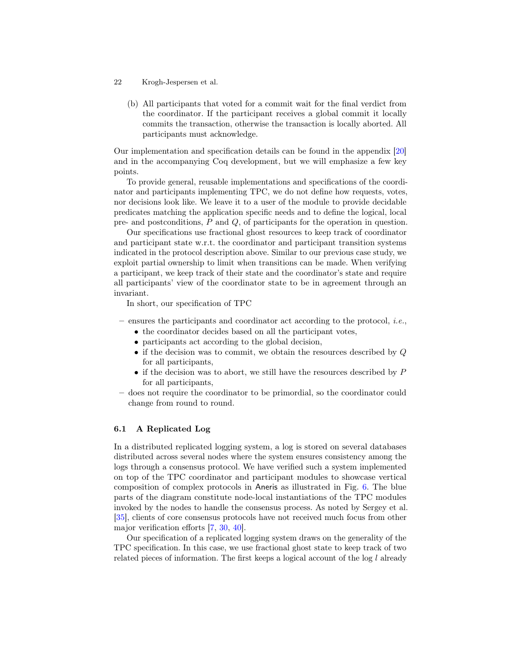- 22 Krogh-Jespersen et al.
	- (b) All participants that voted for a commit wait for the final verdict from the coordinator. If the participant receives a global commit it locally commits the transaction, otherwise the transaction is locally aborted. All participants must acknowledge.

Our implementation and specification details can be found in the appendix [\[20\]](#page-27-8) and in the accompanying Coq development, but we will emphasize a few key points.

To provide general, reusable implementations and specifications of the coordinator and participants implementing TPC, we do not define how requests, votes, nor decisions look like. We leave it to a user of the module to provide decidable predicates matching the application specific needs and to define the logical, local pre- and postconditions, P and Q, of participants for the operation in question.

Our specifications use fractional ghost resources to keep track of coordinator and participant state w.r.t. the coordinator and participant transition systems indicated in the protocol description above. Similar to our previous case study, we exploit partial ownership to limit when transitions can be made. When verifying a participant, we keep track of their state and the coordinator's state and require all participants' view of the coordinator state to be in agreement through an invariant.

In short, our specification of TPC

- ensures the participants and coordinator act according to the protocol, i.e.,
	- the coordinator decides based on all the participant votes,
	- participants act according to the global decision,
	- if the decision was to commit, we obtain the resources described by Q for all participants,
	- $\bullet$  if the decision was to abort, we still have the resources described by  $P$ for all participants,
- does not require the coordinator to be primordial, so the coordinator could change from round to round.

# 6.1 A Replicated Log

In a distributed replicated logging system, a log is stored on several databases distributed across several nodes where the system ensures consistency among the logs through a consensus protocol. We have verified such a system implemented on top of the TPC coordinator and participant modules to showcase vertical composition of complex protocols in Aneris as illustrated in Fig. [6.](#page-22-1) The blue parts of the diagram constitute node-local instantiations of the TPC modules invoked by the nodes to handle the consensus process. As noted by Sergey et al. [\[35\]](#page-28-1), clients of core consensus protocols have not received much focus from other major verification efforts [\[7,](#page-25-1) [30,](#page-28-0) [40\]](#page-29-0).

Our specification of a replicated logging system draws on the generality of the TPC specification. In this case, we use fractional ghost state to keep track of two related pieces of information. The first keeps a logical account of the  $log l$  already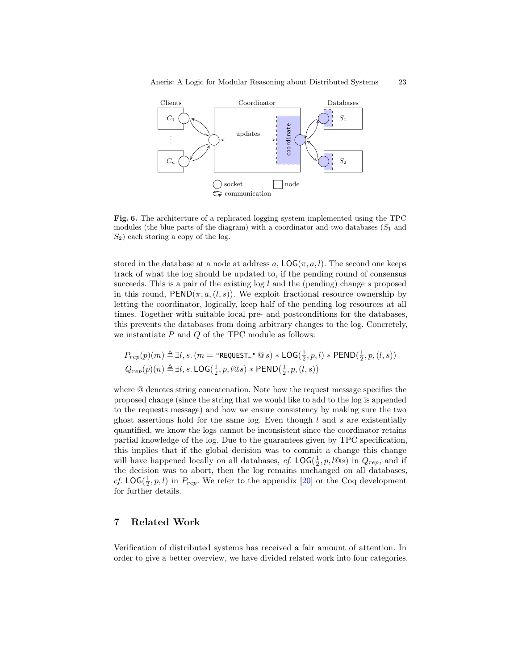

<span id="page-22-1"></span>Fig. 6. The architecture of a replicated logging system implemented using the TPC modules (the blue parts of the diagram) with a coordinator and two databases  $(S_1)$  and  $S_2$ ) each storing a copy of the log.

stored in the database at a node at address a,  $LOG(\pi, a, l)$ . The second one keeps track of what the log should be updated to, if the pending round of consensus succeeds. This is a pair of the existing  $log l$  and the (pending) change s proposed in this round,  $\text{PEND}(\pi, a, (l, s))$ . We exploit fractional resource ownership by letting the coordinator, logically, keep half of the pending log resources at all times. Together with suitable local pre- and postconditions for the databases, this prevents the databases from doing arbitrary changes to the log. Concretely, we instantiate  $P$  and  $Q$  of the TPC module as follows:

$$
\begin{aligned} &P_{rep}(p)(m)\triangleq \exists l,s. \, (m=\texttt{"REQUEST\_"}\, @\, s) * \texttt{LOG}(\tfrac{1}{2},p,l) * \texttt{PEND}(\tfrac{1}{2},p,(l,s)) \\ &Q_{rep}(p)(n)\triangleq \exists l,s. \, \texttt{LOG}(\tfrac{1}{2},p,l@s) * \texttt{PEND}(\tfrac{1}{2},p,(l,s)) \end{aligned}
$$

where @ denotes string concatenation. Note how the request message specifies the proposed change (since the string that we would like to add to the log is appended to the requests message) and how we ensure consistency by making sure the two ghost assertions hold for the same log. Even though  $l$  and  $s$  are existentially quantified, we know the logs cannot be inconsistent since the coordinator retains partial knowledge of the log. Due to the guarantees given by TPC specification, this implies that if the global decision was to commit a change this change will have happened locally on all databases, cf.  $LOG(\frac{1}{2}, p, l@s)$  in  $Q_{rep}$ , and if the decision was to abort, then the log remains unchanged on all databases, *cf.* LOG( $\frac{1}{2}$ , p, l) in  $P_{rep}$ . We refer to the appendix [\[20\]](#page-27-8) or the Coq development for further details.

# <span id="page-22-0"></span>7 Related Work

Verification of distributed systems has received a fair amount of attention. In order to give a better overview, we have divided related work into four categories.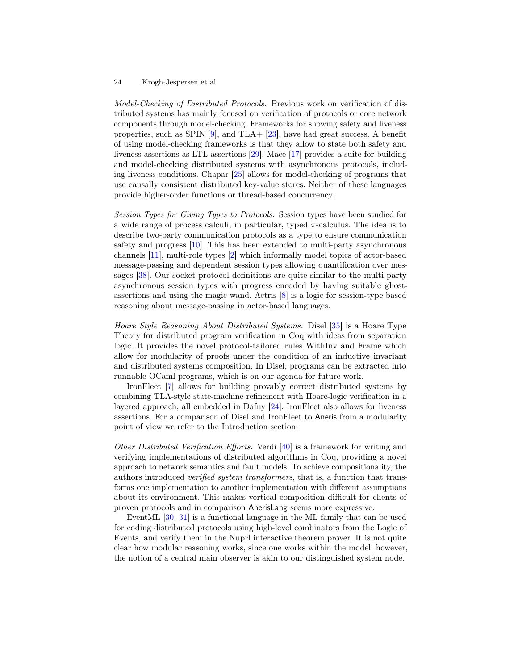Model-Checking of Distributed Protocols. Previous work on verification of distributed systems has mainly focused on verification of protocols or core network components through model-checking. Frameworks for showing safety and liveness properties, such as SPIN  $[9]$ , and TLA +  $[23]$ , have had great success. A benefit of using model-checking frameworks is that they allow to state both safety and liveness assertions as LTL assertions [\[29\]](#page-27-0). Mace [\[17\]](#page-26-0) provides a suite for building and model-checking distributed systems with asynchronous protocols, including liveness conditions. Chapar [\[25\]](#page-27-2) allows for model-checking of programs that use causally consistent distributed key-value stores. Neither of these languages provide higher-order functions or thread-based concurrency.

Session Types for Giving Types to Protocols. Session types have been studied for a wide range of process calculi, in particular, typed  $\pi$ -calculus. The idea is to describe two-party communication protocols as a type to ensure communication safety and progress [\[10\]](#page-25-7). This has been extended to multi-party asynchronous channels [\[11\]](#page-26-8), multi-role types [\[2\]](#page-25-8) which informally model topics of actor-based message-passing and dependent session types allowing quantification over messages [\[38\]](#page-28-8). Our socket protocol definitions are quite similar to the multi-party asynchronous session types with progress encoded by having suitable ghostassertions and using the magic wand. Actris [\[8\]](#page-25-9) is a logic for session-type based reasoning about message-passing in actor-based languages.

Hoare Style Reasoning About Distributed Systems. Disel [\[35\]](#page-28-1) is a Hoare Type Theory for distributed program verification in Coq with ideas from separation logic. It provides the novel protocol-tailored rules WithInv and Frame which allow for modularity of proofs under the condition of an inductive invariant and distributed systems composition. In Disel, programs can be extracted into runnable OCaml programs, which is on our agenda for future work.

IronFleet [\[7\]](#page-25-1) allows for building provably correct distributed systems by combining TLA-style state-machine refinement with Hoare-logic verification in a layered approach, all embedded in Dafny [\[24\]](#page-27-9). IronFleet also allows for liveness assertions. For a comparison of Disel and IronFleet to Aneris from a modularity point of view we refer to the Introduction section.

Other Distributed Verification Efforts. Verdi [\[40\]](#page-29-0) is a framework for writing and verifying implementations of distributed algorithms in Coq, providing a novel approach to network semantics and fault models. To achieve compositionality, the authors introduced verified system transformers, that is, a function that transforms one implementation to another implementation with different assumptions about its environment. This makes vertical composition difficult for clients of proven protocols and in comparison AnerisLang seems more expressive.

EventML [\[30,](#page-28-0) [31\]](#page-28-9) is a functional language in the ML family that can be used for coding distributed protocols using high-level combinators from the Logic of Events, and verify them in the Nuprl interactive theorem prover. It is not quite clear how modular reasoning works, since one works within the model, however, the notion of a central main observer is akin to our distinguished system node.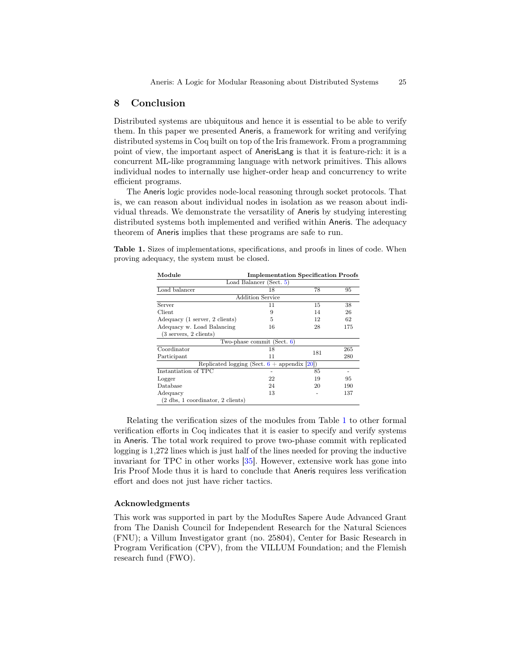## <span id="page-24-0"></span>8 Conclusion

Distributed systems are ubiquitous and hence it is essential to be able to verify them. In this paper we presented Aneris, a framework for writing and verifying distributed systems in Coq built on top of the Iris framework. From a programming point of view, the important aspect of AnerisLang is that it is feature-rich: it is a concurrent ML-like programming language with network primitives. This allows individual nodes to internally use higher-order heap and concurrency to write efficient programs.

The Aneris logic provides node-local reasoning through socket protocols. That is, we can reason about individual nodes in isolation as we reason about individual threads. We demonstrate the versatility of Aneris by studying interesting distributed systems both implemented and verified within Aneris. The adequacy theorem of Aneris implies that these programs are safe to run.

Table 1. Sizes of implementations, specifications, and proofs in lines of code. When proving adequacy, the system must be closed.

<span id="page-24-1"></span>

| Module                            | <b>Implementation Specification Proofs</b>     |     |     |
|-----------------------------------|------------------------------------------------|-----|-----|
|                                   | Load Balancer (Sect. 5)                        |     |     |
| Load balancer                     | 18                                             | 78  | 95  |
|                                   | <b>Addition Service</b>                        |     |     |
| Server                            | 11                                             | 15  | 38  |
| Client                            | 9                                              | 14  | 26  |
| Adequacy (1 server, 2 clients)    | 5                                              | 12  | 62  |
| Adequacy w. Load Balancing        | 16                                             | 28  | 175 |
| (3 servers, 2 clients)            |                                                |     |     |
|                                   | Two-phase commit (Sect. $6$ )                  |     |     |
| Coordinator                       | 18                                             | 181 | 265 |
| Participant                       | 11                                             |     | 280 |
|                                   | Replicated logging (Sect. $6 +$ appendix [20]) |     |     |
| Instantiation of TPC              |                                                | 85  |     |
| Logger                            | 22                                             | 19  | 95  |
| Database                          | 24                                             | 20  | 190 |
| Adequacy                          | 13                                             |     | 137 |
| (2 dbs, 1 coordinator, 2 clients) |                                                |     |     |

Relating the verification sizes of the modules from Table [1](#page-24-1) to other formal verification efforts in Coq indicates that it is easier to specify and verify systems in Aneris. The total work required to prove two-phase commit with replicated logging is 1,272 lines which is just half of the lines needed for proving the inductive invariant for TPC in other works [\[35\]](#page-28-1). However, extensive work has gone into Iris Proof Mode thus it is hard to conclude that Aneris requires less verification effort and does not just have richer tactics.

#### Acknowledgments

This work was supported in part by the ModuRes Sapere Aude Advanced Grant from The Danish Council for Independent Research for the Natural Sciences (FNU); a Villum Investigator grant (no. 25804), Center for Basic Research in Program Verification (CPV), from the VILLUM Foundation; and the Flemish research fund (FWO).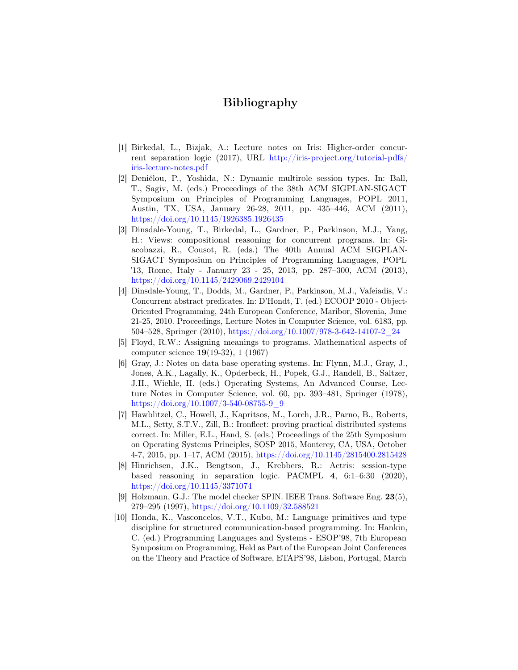# Bibliography

- <span id="page-25-5"></span>[1] Birkedal, L., Bizjak, A.: Lecture notes on Iris: Higher-order concurrent separation logic (2017), URL [http://iris-project.org/tutorial-pdfs/](http://iris-project.org/tutorial-pdfs/iris-lecture-notes.pdf) [iris-lecture-notes.pdf](http://iris-project.org/tutorial-pdfs/iris-lecture-notes.pdf)
- <span id="page-25-8"></span>[2] Deniélou, P., Yoshida, N.: Dynamic multirole session types. In: Ball, T., Sagiv, M. (eds.) Proceedings of the 38th ACM SIGPLAN-SIGACT Symposium on Principles of Programming Languages, POPL 2011, Austin, TX, USA, January 26-28, 2011, pp. 435–446, ACM (2011), <https://doi.org/10.1145/1926385.1926435>
- <span id="page-25-3"></span>[3] Dinsdale-Young, T., Birkedal, L., Gardner, P., Parkinson, M.J., Yang, H.: Views: compositional reasoning for concurrent programs. In: Giacobazzi, R., Cousot, R. (eds.) The 40th Annual ACM SIGPLAN-SIGACT Symposium on Principles of Programming Languages, POPL '13, Rome, Italy - January 23 - 25, 2013, pp. 287–300, ACM (2013), <https://doi.org/10.1145/2429069.2429104>
- <span id="page-25-4"></span>[4] Dinsdale-Young, T., Dodds, M., Gardner, P., Parkinson, M.J., Vafeiadis, V.: Concurrent abstract predicates. In: D'Hondt, T. (ed.) ECOOP 2010 - Object-Oriented Programming, 24th European Conference, Maribor, Slovenia, June 21-25, 2010. Proceedings, Lecture Notes in Computer Science, vol. 6183, pp. 504–528, Springer (2010), [https://doi.org/10.1007/978-3-642-14107-2\\_24](https://doi.org/10.1007/978-3-642-14107-2_24)
- <span id="page-25-2"></span>[5] Floyd, R.W.: Assigning meanings to programs. Mathematical aspects of computer science 19(19-32), 1 (1967)
- <span id="page-25-6"></span>[6] Gray, J.: Notes on data base operating systems. In: Flynn, M.J., Gray, J., Jones, A.K., Lagally, K., Opderbeck, H., Popek, G.J., Randell, B., Saltzer, J.H., Wiehle, H. (eds.) Operating Systems, An Advanced Course, Lecture Notes in Computer Science, vol. 60, pp. 393–481, Springer (1978), [https://doi.org/10.1007/3-540-08755-9\\_9](https://doi.org/10.1007/3-540-08755-9_9)
- <span id="page-25-1"></span>[7] Hawblitzel, C., Howell, J., Kapritsos, M., Lorch, J.R., Parno, B., Roberts, M.L., Setty, S.T.V., Zill, B.: Ironfleet: proving practical distributed systems correct. In: Miller, E.L., Hand, S. (eds.) Proceedings of the 25th Symposium on Operating Systems Principles, SOSP 2015, Monterey, CA, USA, October 4-7, 2015, pp. 1–17, ACM (2015), <https://doi.org/10.1145/2815400.2815428>
- <span id="page-25-9"></span>[8] Hinrichsen, J.K., Bengtson, J., Krebbers, R.: Actris: session-type based reasoning in separation logic. PACMPL 4, 6:1–6:30 (2020), <https://doi.org/10.1145/3371074>
- <span id="page-25-0"></span>[9] Holzmann, G.J.: The model checker SPIN. IEEE Trans. Software Eng.  $23(5)$ , 279–295 (1997), <https://doi.org/10.1109/32.588521>
- <span id="page-25-7"></span>[10] Honda, K., Vasconcelos, V.T., Kubo, M.: Language primitives and type discipline for structured communication-based programming. In: Hankin, C. (ed.) Programming Languages and Systems - ESOP'98, 7th European Symposium on Programming, Held as Part of the European Joint Conferences on the Theory and Practice of Software, ETAPS'98, Lisbon, Portugal, March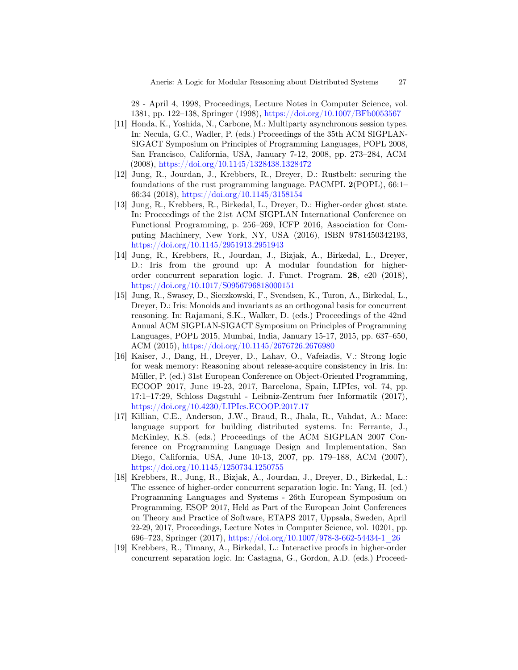28 - April 4, 1998, Proceedings, Lecture Notes in Computer Science, vol. 1381, pp. 122–138, Springer (1998), <https://doi.org/10.1007/BFb0053567>

- <span id="page-26-8"></span>[11] Honda, K., Yoshida, N., Carbone, M.: Multiparty asynchronous session types. In: Necula, G.C., Wadler, P. (eds.) Proceedings of the 35th ACM SIGPLAN-SIGACT Symposium on Principles of Programming Languages, POPL 2008, San Francisco, California, USA, January 7-12, 2008, pp. 273–284, ACM (2008), <https://doi.org/10.1145/1328438.1328472>
- <span id="page-26-5"></span>[12] Jung, R., Jourdan, J., Krebbers, R., Dreyer, D.: Rustbelt: securing the foundations of the rust programming language. PACMPL 2(POPL), 66:1– 66:34 (2018), <https://doi.org/10.1145/3158154>
- <span id="page-26-1"></span>[13] Jung, R., Krebbers, R., Birkedal, L., Dreyer, D.: Higher-order ghost state. In: Proceedings of the 21st ACM SIGPLAN International Conference on Functional Programming, p. 256–269, ICFP 2016, Association for Computing Machinery, New York, NY, USA (2016), ISBN 9781450342193, <https://doi.org/10.1145/2951913.2951943>
- <span id="page-26-7"></span>[14] Jung, R., Krebbers, R., Jourdan, J., Bizjak, A., Birkedal, L., Dreyer, D.: Iris from the ground up: A modular foundation for higherorder concurrent separation logic. J. Funct. Program. 28, e20 (2018), <https://doi.org/10.1017/S0956796818000151>
- <span id="page-26-2"></span>[15] Jung, R., Swasey, D., Sieczkowski, F., Svendsen, K., Turon, A., Birkedal, L., Dreyer, D.: Iris: Monoids and invariants as an orthogonal basis for concurrent reasoning. In: Rajamani, S.K., Walker, D. (eds.) Proceedings of the 42nd Annual ACM SIGPLAN-SIGACT Symposium on Principles of Programming Languages, POPL 2015, Mumbai, India, January 15-17, 2015, pp. 637–650, ACM (2015), <https://doi.org/10.1145/2676726.2676980>
- <span id="page-26-6"></span>[16] Kaiser, J., Dang, H., Dreyer, D., Lahav, O., Vafeiadis, V.: Strong logic for weak memory: Reasoning about release-acquire consistency in Iris. In: Müller, P. (ed.) 31st European Conference on Object-Oriented Programming, ECOOP 2017, June 19-23, 2017, Barcelona, Spain, LIPIcs, vol. 74, pp. 17:1–17:29, Schloss Dagstuhl - Leibniz-Zentrum fuer Informatik (2017), <https://doi.org/10.4230/LIPIcs.ECOOP.2017.17>
- <span id="page-26-0"></span>[17] Killian, C.E., Anderson, J.W., Braud, R., Jhala, R., Vahdat, A.: Mace: language support for building distributed systems. In: Ferrante, J., McKinley, K.S. (eds.) Proceedings of the ACM SIGPLAN 2007 Conference on Programming Language Design and Implementation, San Diego, California, USA, June 10-13, 2007, pp. 179–188, ACM (2007), <https://doi.org/10.1145/1250734.1250755>
- <span id="page-26-3"></span>[18] Krebbers, R., Jung, R., Bizjak, A., Jourdan, J., Dreyer, D., Birkedal, L.: The essence of higher-order concurrent separation logic. In: Yang, H. (ed.) Programming Languages and Systems - 26th European Symposium on Programming, ESOP 2017, Held as Part of the European Joint Conferences on Theory and Practice of Software, ETAPS 2017, Uppsala, Sweden, April 22-29, 2017, Proceedings, Lecture Notes in Computer Science, vol. 10201, pp. 696–723, Springer (2017), [https://doi.org/10.1007/978-3-662-54434-1\\_26](https://doi.org/10.1007/978-3-662-54434-1_26)
- <span id="page-26-4"></span>[19] Krebbers, R., Timany, A., Birkedal, L.: Interactive proofs in higher-order concurrent separation logic. In: Castagna, G., Gordon, A.D. (eds.) Proceed-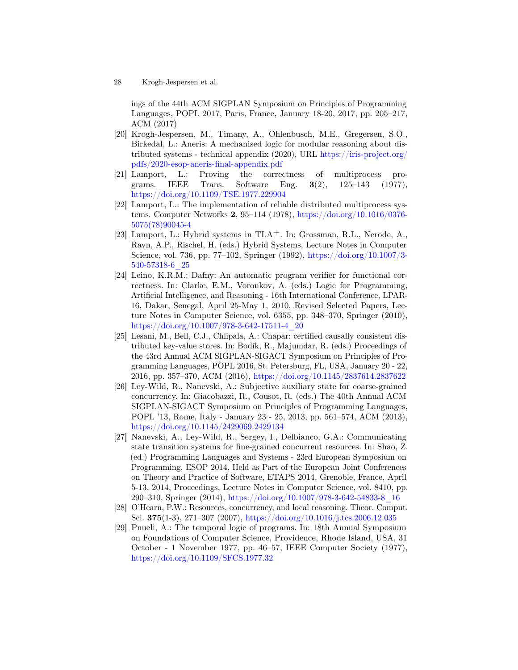ings of the 44th ACM SIGPLAN Symposium on Principles of Programming Languages, POPL 2017, Paris, France, January 18-20, 2017, pp. 205–217, ACM (2017)

- <span id="page-27-8"></span>[20] Krogh-Jespersen, M., Timany, A., Ohlenbusch, M.E., Gregersen, S.O., Birkedal, L.: Aneris: A mechanised logic for modular reasoning about distributed systems - technical appendix (2020), URL [https://iris-project.org/](https://iris-project.org/pdfs/2020-esop-aneris-final-appendix.pdf) [pdfs/2020-esop-aneris-final-appendix.pdf](https://iris-project.org/pdfs/2020-esop-aneris-final-appendix.pdf)
- <span id="page-27-3"></span>[21] Lamport, L.: Proving the correctness of multiprocess programs. IEEE Trans. Software Eng. 3(2), 125–143 (1977), <https://doi.org/10.1109/TSE.1977.229904>
- <span id="page-27-4"></span>[22] Lamport, L.: The implementation of reliable distributed multiprocess systems. Computer Networks 2, 95–114 (1978), [https://doi.org/10.1016/0376-](https://doi.org/10.1016/0376-5075(78)90045-4) [5075\(78\)90045-4](https://doi.org/10.1016/0376-5075(78)90045-4)
- <span id="page-27-1"></span>[23] Lamport, L.: Hybrid systems in  $TLA^+$ . In: Grossman, R.L., Nerode, A., Ravn, A.P., Rischel, H. (eds.) Hybrid Systems, Lecture Notes in Computer Science, vol. 736, pp. 77–102, Springer (1992),  $\frac{ht \text{ps}}{dt}$  /doi.org/10.1007/3-[540-57318-6\\_25](https://doi.org/10.1007/3-540-57318-6_25)
- <span id="page-27-9"></span>[24] Leino, K.R.M.: Dafny: An automatic program verifier for functional correctness. In: Clarke, E.M., Voronkov, A. (eds.) Logic for Programming, Artificial Intelligence, and Reasoning - 16th International Conference, LPAR-16, Dakar, Senegal, April 25-May 1, 2010, Revised Selected Papers, Lecture Notes in Computer Science, vol. 6355, pp. 348–370, Springer (2010), [https://doi.org/10.1007/978-3-642-17511-4\\_20](https://doi.org/10.1007/978-3-642-17511-4_20)
- <span id="page-27-2"></span>[25] Lesani, M., Bell, C.J., Chlipala, A.: Chapar: certified causally consistent distributed key-value stores. In: Bodík, R., Majumdar, R. (eds.) Proceedings of the 43rd Annual ACM SIGPLAN-SIGACT Symposium on Principles of Programming Languages, POPL 2016, St. Petersburg, FL, USA, January 20 - 22, 2016, pp. 357–370, ACM (2016), <https://doi.org/10.1145/2837614.2837622>
- <span id="page-27-5"></span>[26] Ley-Wild, R., Nanevski, A.: Subjective auxiliary state for coarse-grained concurrency. In: Giacobazzi, R., Cousot, R. (eds.) The 40th Annual ACM SIGPLAN-SIGACT Symposium on Principles of Programming Languages, POPL '13, Rome, Italy - January 23 - 25, 2013, pp. 561–574, ACM (2013), <https://doi.org/10.1145/2429069.2429134>
- <span id="page-27-6"></span>[27] Nanevski, A., Ley-Wild, R., Sergey, I., Delbianco, G.A.: Communicating state transition systems for fine-grained concurrent resources. In: Shao, Z. (ed.) Programming Languages and Systems - 23rd European Symposium on Programming, ESOP 2014, Held as Part of the European Joint Conferences on Theory and Practice of Software, ETAPS 2014, Grenoble, France, April 5-13, 2014, Proceedings, Lecture Notes in Computer Science, vol. 8410, pp. 290–310, Springer (2014), [https://doi.org/10.1007/978-3-642-54833-8\\_16](https://doi.org/10.1007/978-3-642-54833-8_16)
- <span id="page-27-7"></span>[28] O'Hearn, P.W.: Resources, concurrency, and local reasoning. Theor. Comput. Sci. 375(1-3), 271–307 (2007), <https://doi.org/10.1016/j.tcs.2006.12.035>
- <span id="page-27-0"></span>[29] Pnueli, A.: The temporal logic of programs. In: 18th Annual Symposium on Foundations of Computer Science, Providence, Rhode Island, USA, 31 October - 1 November 1977, pp. 46–57, IEEE Computer Society (1977), <https://doi.org/10.1109/SFCS.1977.32>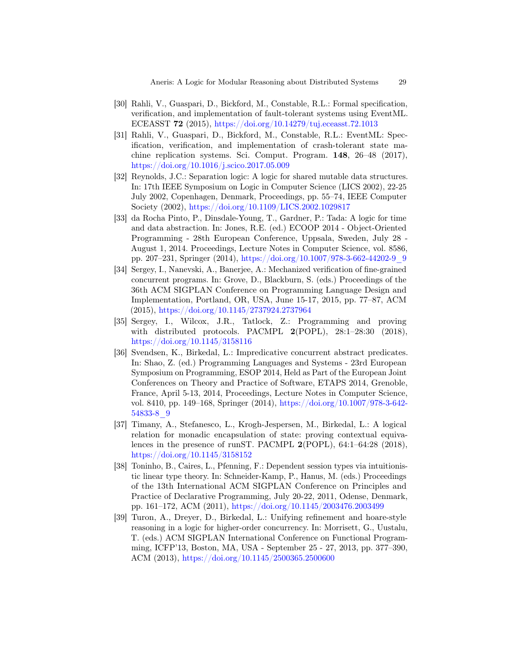- <span id="page-28-0"></span>[30] Rahli, V., Guaspari, D., Bickford, M., Constable, R.L.: Formal specification, verification, and implementation of fault-tolerant systems using EventML. ECEASST 72 (2015), <https://doi.org/10.14279/tuj.eceasst.72.1013>
- <span id="page-28-9"></span>[31] Rahli, V., Guaspari, D., Bickford, M., Constable, R.L.: EventML: Specification, verification, and implementation of crash-tolerant state machine replication systems. Sci. Comput. Program. 148, 26–48 (2017), <https://doi.org/10.1016/j.scico.2017.05.009>
- <span id="page-28-6"></span>[32] Reynolds, J.C.: Separation logic: A logic for shared mutable data structures. In: 17th IEEE Symposium on Logic in Computer Science (LICS 2002), 22-25 July 2002, Copenhagen, Denmark, Proceedings, pp. 55–74, IEEE Computer Society (2002), <https://doi.org/10.1109/LICS.2002.1029817>
- <span id="page-28-2"></span>[33] da Rocha Pinto, P., Dinsdale-Young, T., Gardner, P.: Tada: A logic for time and data abstraction. In: Jones, R.E. (ed.) ECOOP 2014 - Object-Oriented Programming - 28th European Conference, Uppsala, Sweden, July 28 - August 1, 2014. Proceedings, Lecture Notes in Computer Science, vol. 8586, pp. 207–231, Springer (2014), [https://doi.org/10.1007/978-3-662-44202-9\\_9](https://doi.org/10.1007/978-3-662-44202-9_9)
- <span id="page-28-3"></span>[34] Sergey, I., Nanevski, A., Banerjee, A.: Mechanized verification of fine-grained concurrent programs. In: Grove, D., Blackburn, S. (eds.) Proceedings of the 36th ACM SIGPLAN Conference on Programming Language Design and Implementation, Portland, OR, USA, June 15-17, 2015, pp. 77–87, ACM (2015), <https://doi.org/10.1145/2737924.2737964>
- <span id="page-28-1"></span>[35] Sergey, I., Wilcox, J.R., Tatlock, Z.: Programming and proving with distributed protocols. PACMPL  $2(POPL)$ ,  $28:1-28:30$  (2018), <https://doi.org/10.1145/3158116>
- <span id="page-28-4"></span>[36] Svendsen, K., Birkedal, L.: Impredicative concurrent abstract predicates. In: Shao, Z. (ed.) Programming Languages and Systems - 23rd European Symposium on Programming, ESOP 2014, Held as Part of the European Joint Conferences on Theory and Practice of Software, ETAPS 2014, Grenoble, France, April 5-13, 2014, Proceedings, Lecture Notes in Computer Science, vol. 8410, pp. 149–168, Springer (2014), [https://doi.org/10.1007/978-3-642-](https://doi.org/10.1007/978-3-642-54833-8_9) [54833-8\\_9](https://doi.org/10.1007/978-3-642-54833-8_9)
- <span id="page-28-7"></span>[37] Timany, A., Stefanesco, L., Krogh-Jespersen, M., Birkedal, L.: A logical relation for monadic encapsulation of state: proving contextual equivalences in the presence of runST. PACMPL 2(POPL), 64:1–64:28 (2018), <https://doi.org/10.1145/3158152>
- <span id="page-28-8"></span>[38] Toninho, B., Caires, L., Pfenning, F.: Dependent session types via intuitionistic linear type theory. In: Schneider-Kamp, P., Hanus, M. (eds.) Proceedings of the 13th International ACM SIGPLAN Conference on Principles and Practice of Declarative Programming, July 20-22, 2011, Odense, Denmark, pp. 161–172, ACM (2011), <https://doi.org/10.1145/2003476.2003499>
- <span id="page-28-5"></span>[39] Turon, A., Dreyer, D., Birkedal, L.: Unifying refinement and hoare-style reasoning in a logic for higher-order concurrency. In: Morrisett, G., Uustalu, T. (eds.) ACM SIGPLAN International Conference on Functional Programming, ICFP'13, Boston, MA, USA - September 25 - 27, 2013, pp. 377–390, ACM (2013), <https://doi.org/10.1145/2500365.2500600>